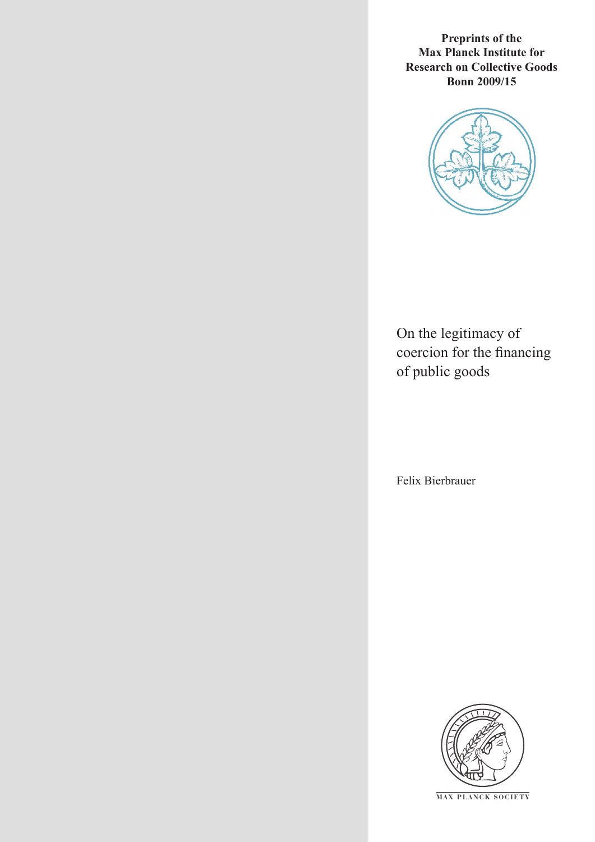**Preprints of the Max Planck Institute for Research on Collective Goods Bonn 2009/15**



On the legitimacy of coercion for the financing of public goods

Felix Bierbrauer



**M AX P L A N C K S O C I E T Y**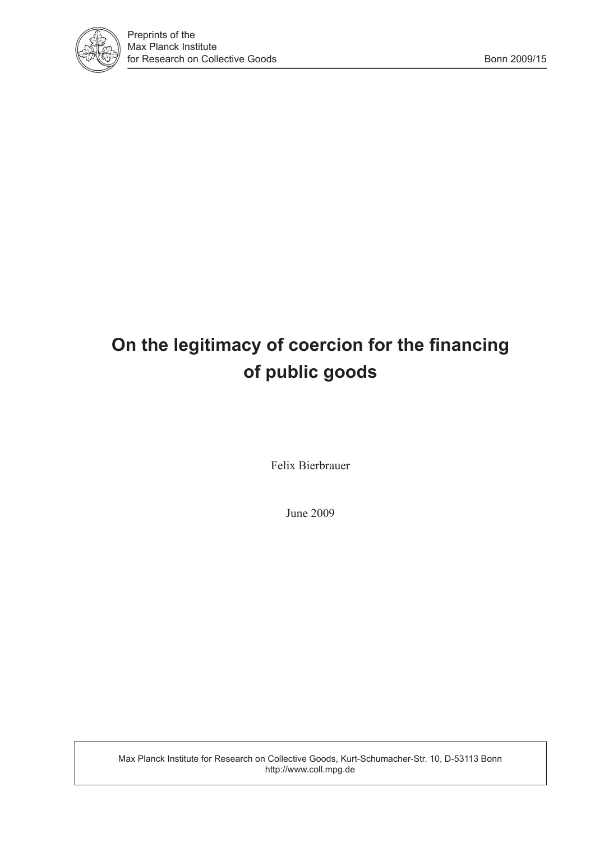

# **On the legitimacy of coercion for the financing of public goods**

Felix Bierbrauer

June 2009

Max Planck Institute for Research on Collective Goods, Kurt-Schumacher-Str. 10, D-53113 Bonn http://www.coll.mpg.de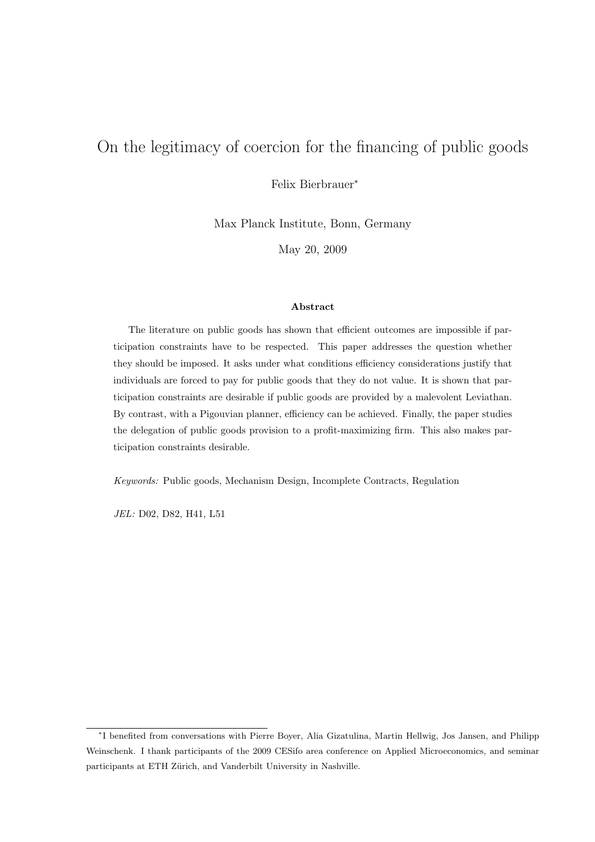## On the legitimacy of coercion for the financing of public goods

Felix Bierbrauer<sup>∗</sup>

Max Planck Institute, Bonn, Germany

May 20, 2009

#### Abstract

The literature on public goods has shown that efficient outcomes are impossible if participation constraints have to be respected. This paper addresses the question whether they should be imposed. It asks under what conditions efficiency considerations justify that individuals are forced to pay for public goods that they do not value. It is shown that participation constraints are desirable if public goods are provided by a malevolent Leviathan. By contrast, with a Pigouvian planner, efficiency can be achieved. Finally, the paper studies the delegation of public goods provision to a profit-maximizing firm. This also makes participation constraints desirable.

Keywords: Public goods, Mechanism Design, Incomplete Contracts, Regulation

JEL: D02, D82, H41, L51

<sup>∗</sup> I benefited from conversations with Pierre Boyer, Alia Gizatulina, Martin Hellwig, Jos Jansen, and Philipp Weinschenk. I thank participants of the 2009 CESifo area conference on Applied Microeconomics, and seminar participants at ETH Zürich, and Vanderbilt University in Nashville.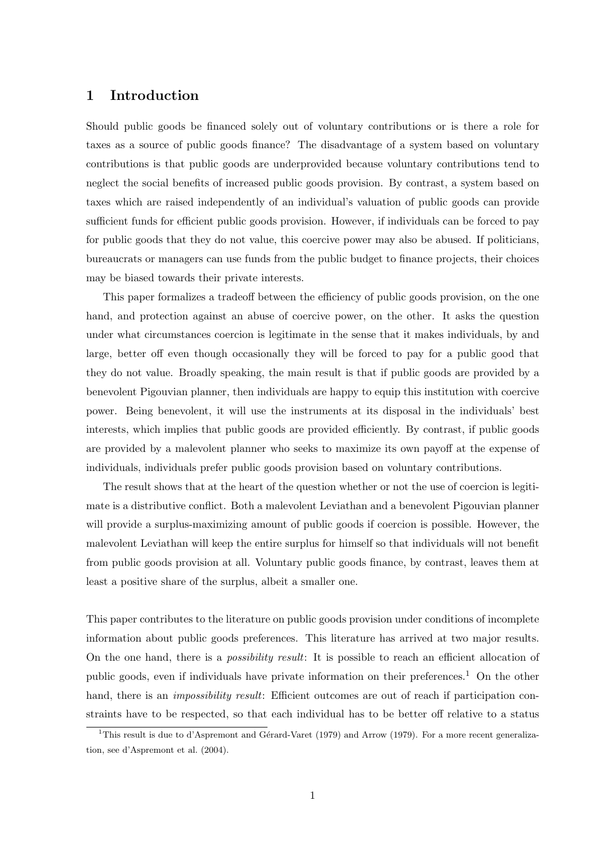### 1 Introduction

Should public goods be financed solely out of voluntary contributions or is there a role for taxes as a source of public goods finance? The disadvantage of a system based on voluntary contributions is that public goods are underprovided because voluntary contributions tend to neglect the social benefits of increased public goods provision. By contrast, a system based on taxes which are raised independently of an individual's valuation of public goods can provide sufficient funds for efficient public goods provision. However, if individuals can be forced to pay for public goods that they do not value, this coercive power may also be abused. If politicians, bureaucrats or managers can use funds from the public budget to finance projects, their choices may be biased towards their private interests.

This paper formalizes a tradeoff between the efficiency of public goods provision, on the one hand, and protection against an abuse of coercive power, on the other. It asks the question under what circumstances coercion is legitimate in the sense that it makes individuals, by and large, better off even though occasionally they will be forced to pay for a public good that they do not value. Broadly speaking, the main result is that if public goods are provided by a benevolent Pigouvian planner, then individuals are happy to equip this institution with coercive power. Being benevolent, it will use the instruments at its disposal in the individuals' best interests, which implies that public goods are provided efficiently. By contrast, if public goods are provided by a malevolent planner who seeks to maximize its own payoff at the expense of individuals, individuals prefer public goods provision based on voluntary contributions.

The result shows that at the heart of the question whether or not the use of coercion is legitimate is a distributive conflict. Both a malevolent Leviathan and a benevolent Pigouvian planner will provide a surplus-maximizing amount of public goods if coercion is possible. However, the malevolent Leviathan will keep the entire surplus for himself so that individuals will not benefit from public goods provision at all. Voluntary public goods finance, by contrast, leaves them at least a positive share of the surplus, albeit a smaller one.

This paper contributes to the literature on public goods provision under conditions of incomplete information about public goods preferences. This literature has arrived at two major results. On the one hand, there is a possibility result: It is possible to reach an efficient allocation of public goods, even if individuals have private information on their preferences.<sup>1</sup> On the other hand, there is an *impossibility result*: Efficient outcomes are out of reach if participation constraints have to be respected, so that each individual has to be better off relative to a status

<sup>&</sup>lt;sup>1</sup>This result is due to d'Aspremont and Gérard-Varet (1979) and Arrow (1979). For a more recent generalization, see d'Aspremont et al. (2004).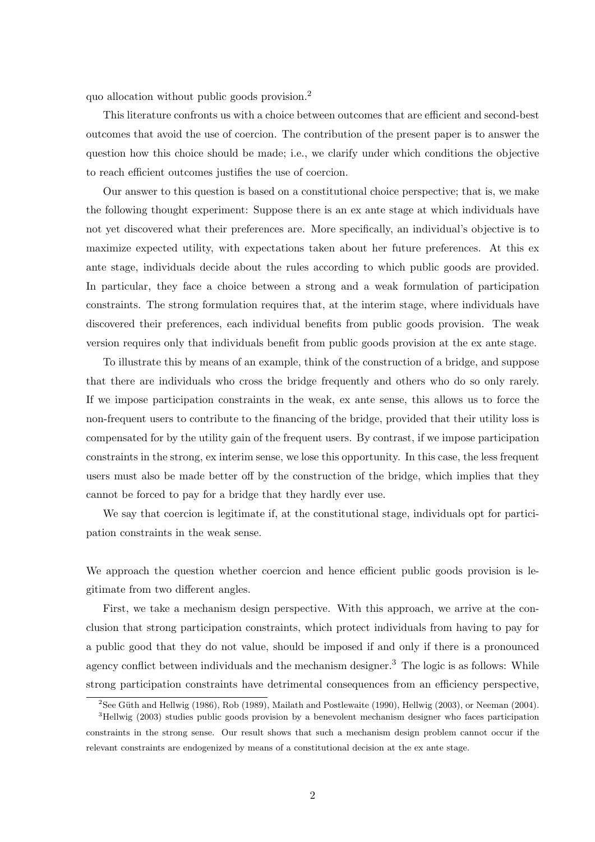quo allocation without public goods provision.<sup>2</sup>

This literature confronts us with a choice between outcomes that are efficient and second-best outcomes that avoid the use of coercion. The contribution of the present paper is to answer the question how this choice should be made; i.e., we clarify under which conditions the objective to reach efficient outcomes justifies the use of coercion.

Our answer to this question is based on a constitutional choice perspective; that is, we make the following thought experiment: Suppose there is an ex ante stage at which individuals have not yet discovered what their preferences are. More specifically, an individual's objective is to maximize expected utility, with expectations taken about her future preferences. At this ex ante stage, individuals decide about the rules according to which public goods are provided. In particular, they face a choice between a strong and a weak formulation of participation constraints. The strong formulation requires that, at the interim stage, where individuals have discovered their preferences, each individual benefits from public goods provision. The weak version requires only that individuals benefit from public goods provision at the ex ante stage.

To illustrate this by means of an example, think of the construction of a bridge, and suppose that there are individuals who cross the bridge frequently and others who do so only rarely. If we impose participation constraints in the weak, ex ante sense, this allows us to force the non-frequent users to contribute to the financing of the bridge, provided that their utility loss is compensated for by the utility gain of the frequent users. By contrast, if we impose participation constraints in the strong, ex interim sense, we lose this opportunity. In this case, the less frequent users must also be made better off by the construction of the bridge, which implies that they cannot be forced to pay for a bridge that they hardly ever use.

We say that coercion is legitimate if, at the constitutional stage, individuals opt for participation constraints in the weak sense.

We approach the question whether coercion and hence efficient public goods provision is legitimate from two different angles.

First, we take a mechanism design perspective. With this approach, we arrive at the conclusion that strong participation constraints, which protect individuals from having to pay for a public good that they do not value, should be imposed if and only if there is a pronounced agency conflict between individuals and the mechanism designer.<sup>3</sup> The logic is as follows: While strong participation constraints have detrimental consequences from an efficiency perspective,

<sup>&</sup>lt;sup>2</sup>See Güth and Hellwig (1986), Rob (1989), Mailath and Postlewaite (1990), Hellwig (2003), or Neeman (2004).

<sup>&</sup>lt;sup>3</sup>Hellwig (2003) studies public goods provision by a benevolent mechanism designer who faces participation constraints in the strong sense. Our result shows that such a mechanism design problem cannot occur if the relevant constraints are endogenized by means of a constitutional decision at the ex ante stage.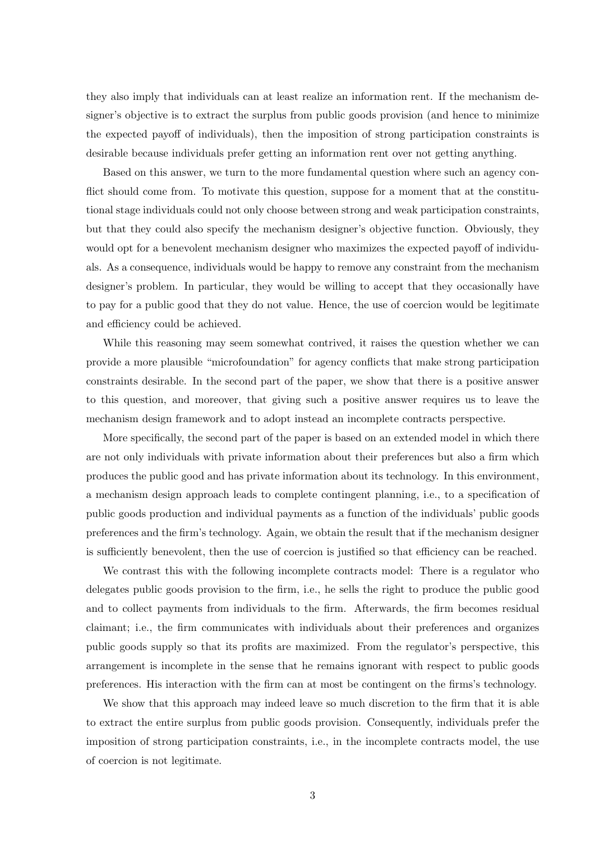they also imply that individuals can at least realize an information rent. If the mechanism designer's objective is to extract the surplus from public goods provision (and hence to minimize the expected payoff of individuals), then the imposition of strong participation constraints is desirable because individuals prefer getting an information rent over not getting anything.

Based on this answer, we turn to the more fundamental question where such an agency conflict should come from. To motivate this question, suppose for a moment that at the constitutional stage individuals could not only choose between strong and weak participation constraints, but that they could also specify the mechanism designer's objective function. Obviously, they would opt for a benevolent mechanism designer who maximizes the expected payoff of individuals. As a consequence, individuals would be happy to remove any constraint from the mechanism designer's problem. In particular, they would be willing to accept that they occasionally have to pay for a public good that they do not value. Hence, the use of coercion would be legitimate and efficiency could be achieved.

While this reasoning may seem somewhat contrived, it raises the question whether we can provide a more plausible "microfoundation" for agency conflicts that make strong participation constraints desirable. In the second part of the paper, we show that there is a positive answer to this question, and moreover, that giving such a positive answer requires us to leave the mechanism design framework and to adopt instead an incomplete contracts perspective.

More specifically, the second part of the paper is based on an extended model in which there are not only individuals with private information about their preferences but also a firm which produces the public good and has private information about its technology. In this environment, a mechanism design approach leads to complete contingent planning, i.e., to a specification of public goods production and individual payments as a function of the individuals' public goods preferences and the firm's technology. Again, we obtain the result that if the mechanism designer is sufficiently benevolent, then the use of coercion is justified so that efficiency can be reached.

We contrast this with the following incomplete contracts model: There is a regulator who delegates public goods provision to the firm, i.e., he sells the right to produce the public good and to collect payments from individuals to the firm. Afterwards, the firm becomes residual claimant; i.e., the firm communicates with individuals about their preferences and organizes public goods supply so that its profits are maximized. From the regulator's perspective, this arrangement is incomplete in the sense that he remains ignorant with respect to public goods preferences. His interaction with the firm can at most be contingent on the firms's technology.

We show that this approach may indeed leave so much discretion to the firm that it is able to extract the entire surplus from public goods provision. Consequently, individuals prefer the imposition of strong participation constraints, i.e., in the incomplete contracts model, the use of coercion is not legitimate.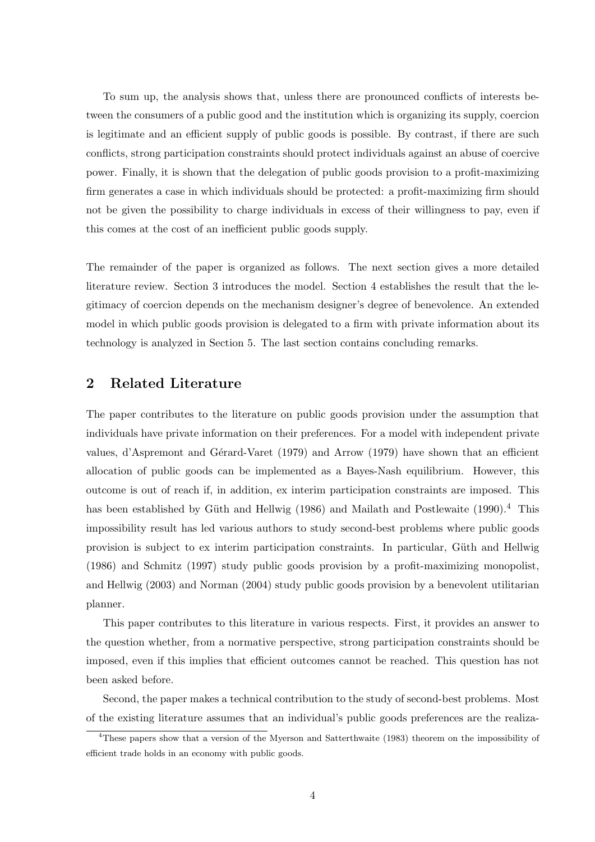To sum up, the analysis shows that, unless there are pronounced conflicts of interests between the consumers of a public good and the institution which is organizing its supply, coercion is legitimate and an efficient supply of public goods is possible. By contrast, if there are such conflicts, strong participation constraints should protect individuals against an abuse of coercive power. Finally, it is shown that the delegation of public goods provision to a profit-maximizing firm generates a case in which individuals should be protected: a profit-maximizing firm should not be given the possibility to charge individuals in excess of their willingness to pay, even if this comes at the cost of an inefficient public goods supply.

The remainder of the paper is organized as follows. The next section gives a more detailed literature review. Section 3 introduces the model. Section 4 establishes the result that the legitimacy of coercion depends on the mechanism designer's degree of benevolence. An extended model in which public goods provision is delegated to a firm with private information about its technology is analyzed in Section 5. The last section contains concluding remarks.

### 2 Related Literature

The paper contributes to the literature on public goods provision under the assumption that individuals have private information on their preferences. For a model with independent private values, d'Aspremont and Gérard-Varet (1979) and Arrow (1979) have shown that an efficient allocation of public goods can be implemented as a Bayes-Nash equilibrium. However, this outcome is out of reach if, in addition, ex interim participation constraints are imposed. This has been established by Güth and Hellwig (1986) and Mailath and Postlewaite (1990).<sup>4</sup> This impossibility result has led various authors to study second-best problems where public goods provision is subject to ex interim participation constraints. In particular, Güth and Hellwig (1986) and Schmitz (1997) study public goods provision by a profit-maximizing monopolist, and Hellwig (2003) and Norman (2004) study public goods provision by a benevolent utilitarian planner.

This paper contributes to this literature in various respects. First, it provides an answer to the question whether, from a normative perspective, strong participation constraints should be imposed, even if this implies that efficient outcomes cannot be reached. This question has not been asked before.

Second, the paper makes a technical contribution to the study of second-best problems. Most of the existing literature assumes that an individual's public goods preferences are the realiza-

<sup>4</sup>These papers show that a version of the Myerson and Satterthwaite (1983) theorem on the impossibility of efficient trade holds in an economy with public goods.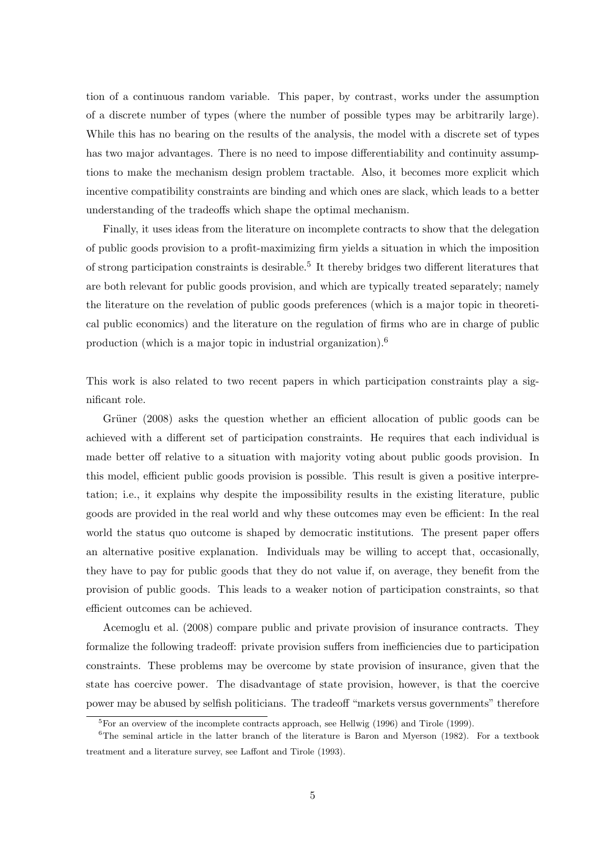tion of a continuous random variable. This paper, by contrast, works under the assumption of a discrete number of types (where the number of possible types may be arbitrarily large). While this has no bearing on the results of the analysis, the model with a discrete set of types has two major advantages. There is no need to impose differentiability and continuity assumptions to make the mechanism design problem tractable. Also, it becomes more explicit which incentive compatibility constraints are binding and which ones are slack, which leads to a better understanding of the tradeoffs which shape the optimal mechanism.

Finally, it uses ideas from the literature on incomplete contracts to show that the delegation of public goods provision to a profit-maximizing firm yields a situation in which the imposition of strong participation constraints is desirable.<sup>5</sup> It thereby bridges two different literatures that are both relevant for public goods provision, and which are typically treated separately; namely the literature on the revelation of public goods preferences (which is a major topic in theoretical public economics) and the literature on the regulation of firms who are in charge of public production (which is a major topic in industrial organization).<sup>6</sup>

This work is also related to two recent papers in which participation constraints play a significant role.

Grüner (2008) asks the question whether an efficient allocation of public goods can be achieved with a different set of participation constraints. He requires that each individual is made better off relative to a situation with majority voting about public goods provision. In this model, efficient public goods provision is possible. This result is given a positive interpretation; i.e., it explains why despite the impossibility results in the existing literature, public goods are provided in the real world and why these outcomes may even be efficient: In the real world the status quo outcome is shaped by democratic institutions. The present paper offers an alternative positive explanation. Individuals may be willing to accept that, occasionally, they have to pay for public goods that they do not value if, on average, they benefit from the provision of public goods. This leads to a weaker notion of participation constraints, so that efficient outcomes can be achieved.

Acemoglu et al. (2008) compare public and private provision of insurance contracts. They formalize the following tradeoff: private provision suffers from inefficiencies due to participation constraints. These problems may be overcome by state provision of insurance, given that the state has coercive power. The disadvantage of state provision, however, is that the coercive power may be abused by selfish politicians. The tradeoff "markets versus governments" therefore

<sup>&</sup>lt;sup>5</sup>For an overview of the incomplete contracts approach, see Hellwig (1996) and Tirole (1999).

 ${}^{6}$ The seminal article in the latter branch of the literature is Baron and Myerson (1982). For a textbook treatment and a literature survey, see Laffont and Tirole (1993).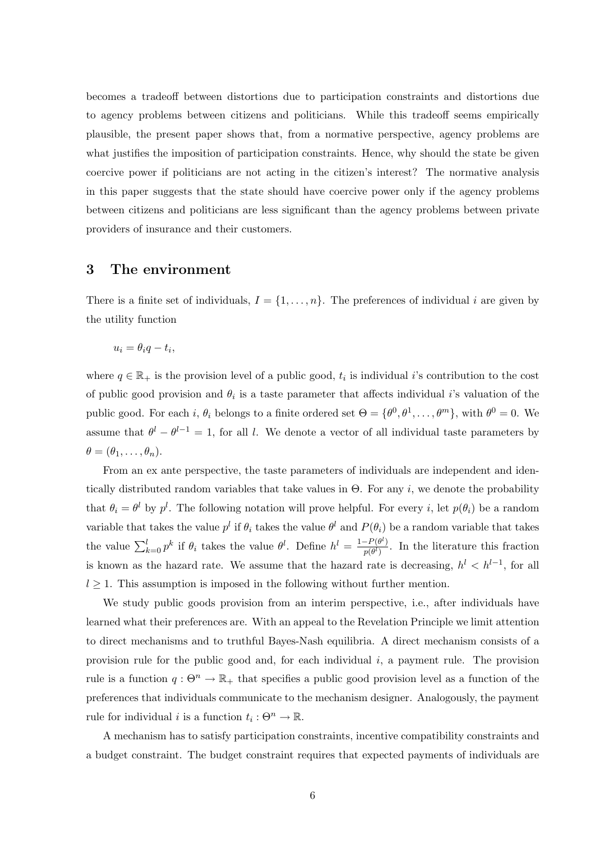becomes a tradeoff between distortions due to participation constraints and distortions due to agency problems between citizens and politicians. While this tradeoff seems empirically plausible, the present paper shows that, from a normative perspective, agency problems are what justifies the imposition of participation constraints. Hence, why should the state be given coercive power if politicians are not acting in the citizen's interest? The normative analysis in this paper suggests that the state should have coercive power only if the agency problems between citizens and politicians are less significant than the agency problems between private providers of insurance and their customers.

### 3 The environment

There is a finite set of individuals,  $I = \{1, \ldots, n\}$ . The preferences of individual i are given by the utility function

$$
u_i = \theta_i q - t_i,
$$

where  $q \in \mathbb{R}_+$  is the provision level of a public good,  $t_i$  is individual i's contribution to the cost of public good provision and  $\theta_i$  is a taste parameter that affects individual *i*'s valuation of the public good. For each i,  $\theta_i$  belongs to a finite ordered set  $\Theta = {\theta^0, \theta^1, \dots, \theta^m}$ , with  $\theta^0 = 0$ . We assume that  $\theta^l - \theta^{l-1} = 1$ , for all l. We denote a vector of all individual taste parameters by  $\theta = (\theta_1, \ldots, \theta_n).$ 

From an ex ante perspective, the taste parameters of individuals are independent and identically distributed random variables that take values in  $\Theta$ . For any *i*, we denote the probability that  $\theta_i = \theta^l$  by  $p^l$ . The following notation will prove helpful. For every i, let  $p(\theta_i)$  be a random variable that takes the value  $p^l$  if  $\theta_i$  takes the value  $\theta^l$  and  $P(\theta_i)$  be a random variable that takes the value  $\sum_{k=0}^{l} p^k$  if  $\theta_i$  takes the value  $\theta^l$ . Define  $h^l = \frac{1-P(\theta^l)}{p(\theta^l)}$  $\frac{-P(\theta)}{p(\theta)}$ . In the literature this fraction is known as the hazard rate. We assume that the hazard rate is decreasing,  $h^{l} < h^{l-1}$ , for all  $l \geq 1$ . This assumption is imposed in the following without further mention.

We study public goods provision from an interim perspective, i.e., after individuals have learned what their preferences are. With an appeal to the Revelation Principle we limit attention to direct mechanisms and to truthful Bayes-Nash equilibria. A direct mechanism consists of a provision rule for the public good and, for each individual  $i$ , a payment rule. The provision rule is a function  $q: \Theta^n \to \mathbb{R}_+$  that specifies a public good provision level as a function of the preferences that individuals communicate to the mechanism designer. Analogously, the payment rule for individual *i* is a function  $t_i: \Theta^n \to \mathbb{R}$ .

A mechanism has to satisfy participation constraints, incentive compatibility constraints and a budget constraint. The budget constraint requires that expected payments of individuals are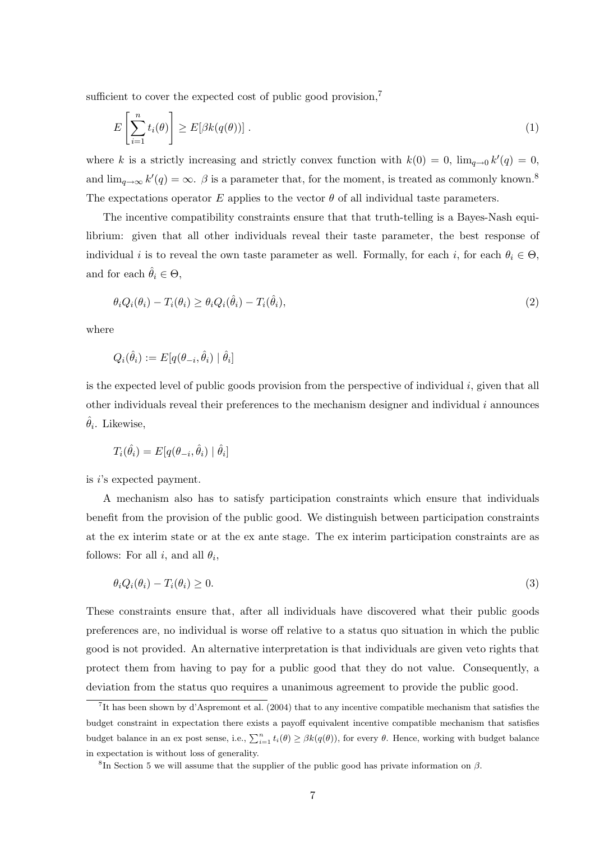sufficient to cover the expected cost of public good provision,<sup>7</sup>

$$
E\left[\sum_{i=1}^{n} t_i(\theta)\right] \ge E[\beta k(q(\theta))].
$$
\n(1)

where k is a strictly increasing and strictly convex function with  $k(0) = 0$ ,  $\lim_{q\to 0} k'(q) = 0$ , and  $\lim_{q\to\infty} k'(q) = \infty$ .  $\beta$  is a parameter that, for the moment, is treated as commonly known.<sup>8</sup> The expectations operator E applies to the vector  $\theta$  of all individual taste parameters.

The incentive compatibility constraints ensure that that truth-telling is a Bayes-Nash equilibrium: given that all other individuals reveal their taste parameter, the best response of individual i is to reveal the own taste parameter as well. Formally, for each i, for each  $\theta_i \in \Theta$ , and for each  $\hat{\theta}_i \in \Theta$ ,

$$
\theta_i Q_i(\theta_i) - T_i(\theta_i) \ge \theta_i Q_i(\hat{\theta}_i) - T_i(\hat{\theta}_i),\tag{2}
$$

where

$$
Q_i(\hat{\theta}_i) := E[q(\theta_{-i}, \hat{\theta}_i) | \hat{\theta}_i]
$$

is the expected level of public goods provision from the perspective of individual  $i$ , given that all other individuals reveal their preferences to the mechanism designer and individual  $i$  announces  $\hat{\theta}_i$ . Likewise,

$$
T_i(\hat{\theta}_i) = E[q(\theta_{-i}, \hat{\theta}_i) | \hat{\theta}_i]
$$

is i's expected payment.

A mechanism also has to satisfy participation constraints which ensure that individuals benefit from the provision of the public good. We distinguish between participation constraints at the ex interim state or at the ex ante stage. The ex interim participation constraints are as follows: For all  $i$ , and all  $\theta_i$ ,

$$
\theta_i Q_i(\theta_i) - T_i(\theta_i) \ge 0. \tag{3}
$$

These constraints ensure that, after all individuals have discovered what their public goods preferences are, no individual is worse off relative to a status quo situation in which the public good is not provided. An alternative interpretation is that individuals are given veto rights that protect them from having to pay for a public good that they do not value. Consequently, a deviation from the status quo requires a unanimous agreement to provide the public good.

<sup>7</sup> It has been shown by d'Aspremont et al. (2004) that to any incentive compatible mechanism that satisfies the budget constraint in expectation there exists a payoff equivalent incentive compatible mechanism that satisfies budget balance in an ex post sense, i.e.,  $\sum_{i=1}^{n} t_i(\theta) \geq \beta k(q(\theta))$ , for every  $\theta$ . Hence, working with budget balance in expectation is without loss of generality.

<sup>&</sup>lt;sup>8</sup>In Section 5 we will assume that the supplier of the public good has private information on  $\beta$ .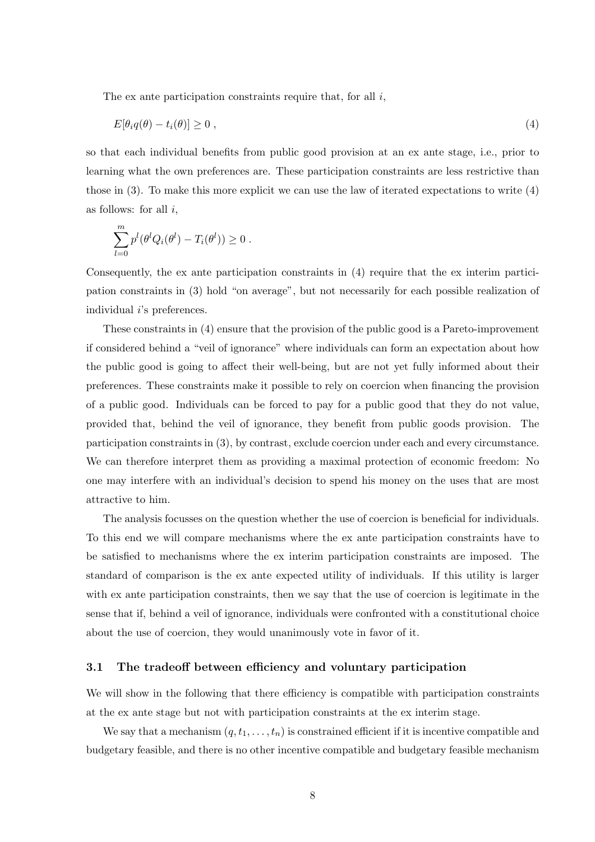The ex ante participation constraints require that, for all  $i$ ,

$$
E[\theta_i q(\theta) - t_i(\theta)] \ge 0 \tag{4}
$$

so that each individual benefits from public good provision at an ex ante stage, i.e., prior to learning what the own preferences are. These participation constraints are less restrictive than those in (3). To make this more explicit we can use the law of iterated expectations to write (4) as follows: for all  $i$ ,

$$
\sum_{l=0}^m p^l(\theta^l Q_i(\theta^l) - T_i(\theta^l)) \geq 0.
$$

Consequently, the ex ante participation constraints in (4) require that the ex interim participation constraints in (3) hold "on average", but not necessarily for each possible realization of individual *i*'s preferences.

These constraints in (4) ensure that the provision of the public good is a Pareto-improvement if considered behind a "veil of ignorance" where individuals can form an expectation about how the public good is going to affect their well-being, but are not yet fully informed about their preferences. These constraints make it possible to rely on coercion when financing the provision of a public good. Individuals can be forced to pay for a public good that they do not value, provided that, behind the veil of ignorance, they benefit from public goods provision. The participation constraints in (3), by contrast, exclude coercion under each and every circumstance. We can therefore interpret them as providing a maximal protection of economic freedom: No one may interfere with an individual's decision to spend his money on the uses that are most attractive to him.

The analysis focusses on the question whether the use of coercion is beneficial for individuals. To this end we will compare mechanisms where the ex ante participation constraints have to be satisfied to mechanisms where the ex interim participation constraints are imposed. The standard of comparison is the ex ante expected utility of individuals. If this utility is larger with ex ante participation constraints, then we say that the use of coercion is legitimate in the sense that if, behind a veil of ignorance, individuals were confronted with a constitutional choice about the use of coercion, they would unanimously vote in favor of it.

#### 3.1 The tradeoff between efficiency and voluntary participation

We will show in the following that there efficiency is compatible with participation constraints at the ex ante stage but not with participation constraints at the ex interim stage.

We say that a mechanism  $(q, t_1, \ldots, t_n)$  is constrained efficient if it is incentive compatible and budgetary feasible, and there is no other incentive compatible and budgetary feasible mechanism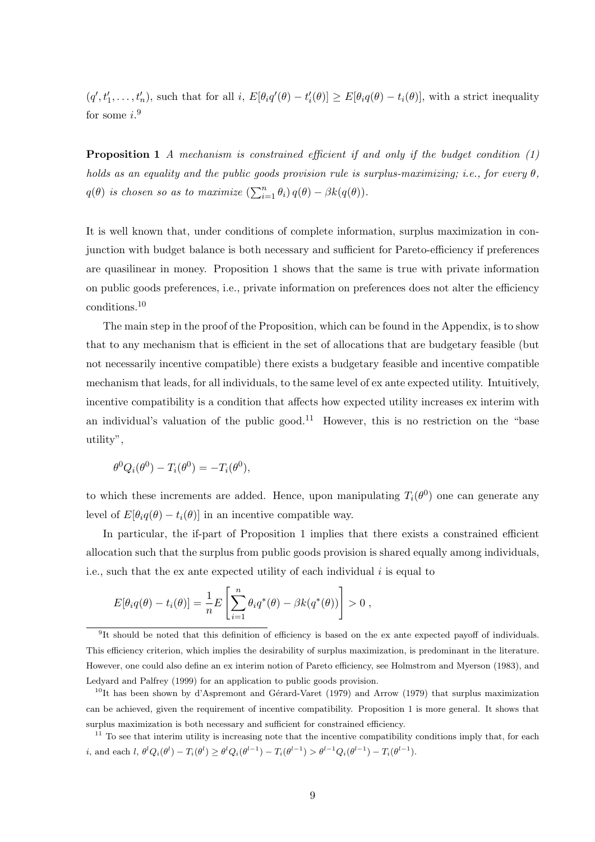$(q', t'_1, \ldots, t'_n)$ , such that for all i,  $E[\theta_i q'(\theta) - t'_i(\theta)] \ge E[\theta_i q(\theta) - t_i(\theta)]$ , with a strict inequality for some  $i$ <sup>9</sup>

**Proposition 1** A mechanism is constrained efficient if and only if the budget condition  $(1)$ holds as an equality and the public goods provision rule is surplus-maximizing; i.e., for every  $\theta$ ,  $q(\theta)$  is chosen so as to maximize  $\left(\sum_{i=1}^n \theta_i\right) q(\theta) - \beta k(q(\theta)).$ 

It is well known that, under conditions of complete information, surplus maximization in conjunction with budget balance is both necessary and sufficient for Pareto-efficiency if preferences are quasilinear in money. Proposition 1 shows that the same is true with private information on public goods preferences, i.e., private information on preferences does not alter the efficiency conditions.<sup>10</sup>

The main step in the proof of the Proposition, which can be found in the Appendix, is to show that to any mechanism that is efficient in the set of allocations that are budgetary feasible (but not necessarily incentive compatible) there exists a budgetary feasible and incentive compatible mechanism that leads, for all individuals, to the same level of ex ante expected utility. Intuitively, incentive compatibility is a condition that affects how expected utility increases ex interim with an individual's valuation of the public good.<sup>11</sup> However, this is no restriction on the "base utility",

$$
\theta^0 Q_i(\theta^0) - T_i(\theta^0) = -T_i(\theta^0),
$$

to which these increments are added. Hence, upon manipulating  $T_i(\theta^0)$  one can generate any level of  $E[\theta_i q(\theta) - t_i(\theta)]$  in an incentive compatible way.

In particular, the if-part of Proposition 1 implies that there exists a constrained efficient allocation such that the surplus from public goods provision is shared equally among individuals, i.e., such that the ex ante expected utility of each individual  $i$  is equal to

$$
E[\theta_i q(\theta) - t_i(\theta)] = \frac{1}{n} E\left[\sum_{i=1}^n \theta_i q^*(\theta) - \beta k(q^*(\theta))\right] > 0,
$$

<sup>9</sup> It should be noted that this definition of efficiency is based on the ex ante expected payoff of individuals. This efficiency criterion, which implies the desirability of surplus maximization, is predominant in the literature. However, one could also define an ex interim notion of Pareto efficiency, see Holmstrom and Myerson (1983), and Ledyard and Palfrey (1999) for an application to public goods provision.

 $10$ It has been shown by d'Aspremont and Gérard-Varet (1979) and Arrow (1979) that surplus maximization can be achieved, given the requirement of incentive compatibility. Proposition 1 is more general. It shows that surplus maximization is both necessary and sufficient for constrained efficiency.

 $11$  To see that interim utility is increasing note that the incentive compatibility conditions imply that, for each i, and each  $l, \theta^l Q_i(\theta^l) - T_i(\theta^l) \geq \theta^l Q_i(\theta^{l-1}) - T_i(\theta^{l-1}) > \theta^{l-1} Q_i(\theta^{l-1}) - T_i(\theta^{l-1})$ .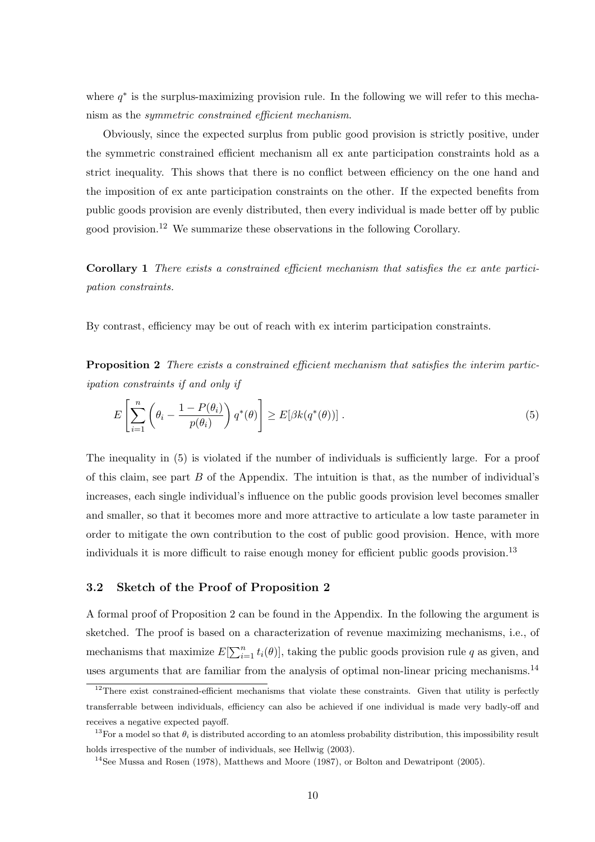where  $q^*$  is the surplus-maximizing provision rule. In the following we will refer to this mechanism as the symmetric constrained efficient mechanism.

Obviously, since the expected surplus from public good provision is strictly positive, under the symmetric constrained efficient mechanism all ex ante participation constraints hold as a strict inequality. This shows that there is no conflict between efficiency on the one hand and the imposition of ex ante participation constraints on the other. If the expected benefits from public goods provision are evenly distributed, then every individual is made better off by public good provision.<sup>12</sup> We summarize these observations in the following Corollary.

Corollary 1 There exists a constrained efficient mechanism that satisfies the ex ante participation constraints.

By contrast, efficiency may be out of reach with ex interim participation constraints.

Proposition 2 There exists a constrained efficient mechanism that satisfies the interim participation constraints if and only if

$$
E\left[\sum_{i=1}^{n} \left(\theta_i - \frac{1 - P(\theta_i)}{p(\theta_i)}\right) q^*(\theta)\right] \ge E[\beta k(q^*(\theta))].\tag{5}
$$

The inequality in (5) is violated if the number of individuals is sufficiently large. For a proof of this claim, see part  $B$  of the Appendix. The intuition is that, as the number of individual's increases, each single individual's influence on the public goods provision level becomes smaller and smaller, so that it becomes more and more attractive to articulate a low taste parameter in order to mitigate the own contribution to the cost of public good provision. Hence, with more individuals it is more difficult to raise enough money for efficient public goods provision.<sup>13</sup>

### 3.2 Sketch of the Proof of Proposition 2

A formal proof of Proposition 2 can be found in the Appendix. In the following the argument is sketched. The proof is based on a characterization of revenue maximizing mechanisms, i.e., of mechanisms that maximize  $E[\sum_{i=1}^{n} t_i(\theta)]$ , taking the public goods provision rule q as given, and uses arguments that are familiar from the analysis of optimal non-linear pricing mechanisms.<sup>14</sup>

 $12$ There exist constrained-efficient mechanisms that violate these constraints. Given that utility is perfectly transferrable between individuals, efficiency can also be achieved if one individual is made very badly-off and receives a negative expected payoff.

<sup>&</sup>lt;sup>13</sup>For a model so that  $\theta_i$  is distributed according to an atomless probability distribution, this impossibility result holds irrespective of the number of individuals, see Hellwig (2003).

<sup>&</sup>lt;sup>14</sup>See Mussa and Rosen (1978), Matthews and Moore (1987), or Bolton and Dewatripont (2005).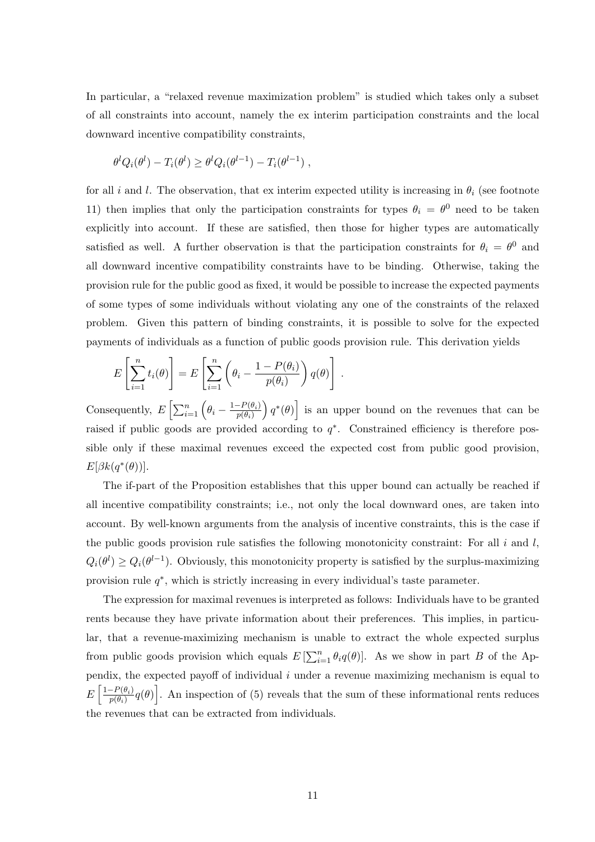In particular, a "relaxed revenue maximization problem" is studied which takes only a subset of all constraints into account, namely the ex interim participation constraints and the local downward incentive compatibility constraints,

$$
\theta^l Q_i(\theta^l) - T_i(\theta^l) \ge \theta^l Q_i(\theta^{l-1}) - T_i(\theta^{l-1}),
$$

for all i and l. The observation, that ex interim expected utility is increasing in  $\theta_i$  (see footnote 11) then implies that only the participation constraints for types  $\theta_i = \theta^0$  need to be taken explicitly into account. If these are satisfied, then those for higher types are automatically satisfied as well. A further observation is that the participation constraints for  $\theta_i = \theta^0$  and all downward incentive compatibility constraints have to be binding. Otherwise, taking the provision rule for the public good as fixed, it would be possible to increase the expected payments of some types of some individuals without violating any one of the constraints of the relaxed problem. Given this pattern of binding constraints, it is possible to solve for the expected payments of individuals as a function of public goods provision rule. This derivation yields

$$
E\left[\sum_{i=1}^n t_i(\theta)\right] = E\left[\sum_{i=1}^n \left(\theta_i - \frac{1 - P(\theta_i)}{p(\theta_i)}\right)q(\theta)\right].
$$

Consequently,  $E\left[\sum_{i=1}^n \left(\theta_i - \frac{1-P(\theta_i)}{p(\theta_i)}\right)\right]$  $p(\theta_i)$  $q^*(\theta)$  is an upper bound on the revenues that can be raised if public goods are provided according to  $q^*$ . Constrained efficiency is therefore possible only if these maximal revenues exceed the expected cost from public good provision,  $E[\beta k(q^*(\theta))].$ 

The if-part of the Proposition establishes that this upper bound can actually be reached if all incentive compatibility constraints; i.e., not only the local downward ones, are taken into account. By well-known arguments from the analysis of incentive constraints, this is the case if the public goods provision rule satisfies the following monotonicity constraint: For all  $i$  and  $l$ ,  $Q_i(\theta^l) \geq Q_i(\theta^{l-1})$ . Obviously, this monotonicity property is satisfied by the surplus-maximizing provision rule  $q^*$ , which is strictly increasing in every individual's taste parameter.

The expression for maximal revenues is interpreted as follows: Individuals have to be granted rents because they have private information about their preferences. This implies, in particular, that a revenue-maximizing mechanism is unable to extract the whole expected surplus from public goods provision which equals  $E\left[\sum_{i=1}^n \theta_i q(\theta)\right]$ . As we show in part B of the Appendix, the expected payoff of individual  $i$  under a revenue maximizing mechanism is equal to  $E\left[\frac{1-P(\theta_i)}{n(\theta_i)}\right]$  $\left[\frac{P(\theta_i)}{p(\theta_i)}q(\theta)\right]$ . An inspection of (5) reveals that the sum of these informational rents reduces the revenues that can be extracted from individuals.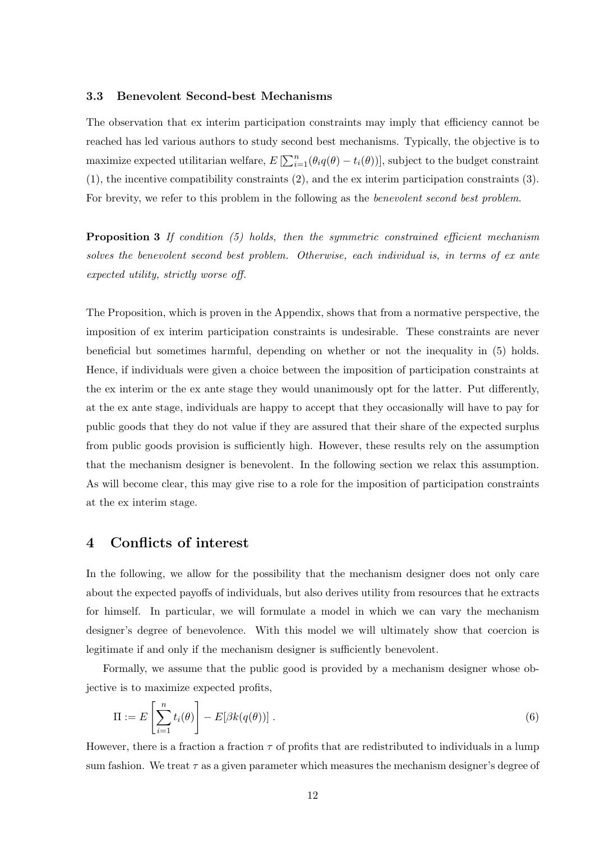#### 3.3 Benevolent Second-best Mechanisms

The observation that ex interim participation constraints may imply that efficiency cannot be reached has led various authors to study second best mechanisms. Typically, the objective is to maximize expected utilitarian welfare,  $E\left[\sum_{i=1}^{n}(\theta_i q(\theta) - t_i(\theta))\right]$ , subject to the budget constraint (1), the incentive compatibility constraints (2), and the ex interim participation constraints (3). For brevity, we refer to this problem in the following as the *benevolent second best problem*.

Proposition 3 If condition (5) holds, then the symmetric constrained efficient mechanism solves the benevolent second best problem. Otherwise, each individual is, in terms of ex ante expected utility, strictly worse off.

The Proposition, which is proven in the Appendix, shows that from a normative perspective, the imposition of ex interim participation constraints is undesirable. These constraints are never beneficial but sometimes harmful, depending on whether or not the inequality in (5) holds. Hence, if individuals were given a choice between the imposition of participation constraints at the ex interim or the ex ante stage they would unanimously opt for the latter. Put differently, at the ex ante stage, individuals are happy to accept that they occasionally will have to pay for public goods that they do not value if they are assured that their share of the expected surplus from public goods provision is sufficiently high. However, these results rely on the assumption that the mechanism designer is benevolent. In the following section we relax this assumption. As will become clear, this may give rise to a role for the imposition of participation constraints at the ex interim stage.

### 4 Conflicts of interest

In the following, we allow for the possibility that the mechanism designer does not only care about the expected payoffs of individuals, but also derives utility from resources that he extracts for himself. In particular, we will formulate a model in which we can vary the mechanism designer's degree of benevolence. With this model we will ultimately show that coercion is legitimate if and only if the mechanism designer is sufficiently benevolent.

Formally, we assume that the public good is provided by a mechanism designer whose objective is to maximize expected profits,

$$
\Pi := E\left[\sum_{i=1}^{n} t_i(\theta)\right] - E[\beta k(q(\theta))].\tag{6}
$$

However, there is a fraction a fraction  $\tau$  of profits that are redistributed to individuals in a lump sum fashion. We treat  $\tau$  as a given parameter which measures the mechanism designer's degree of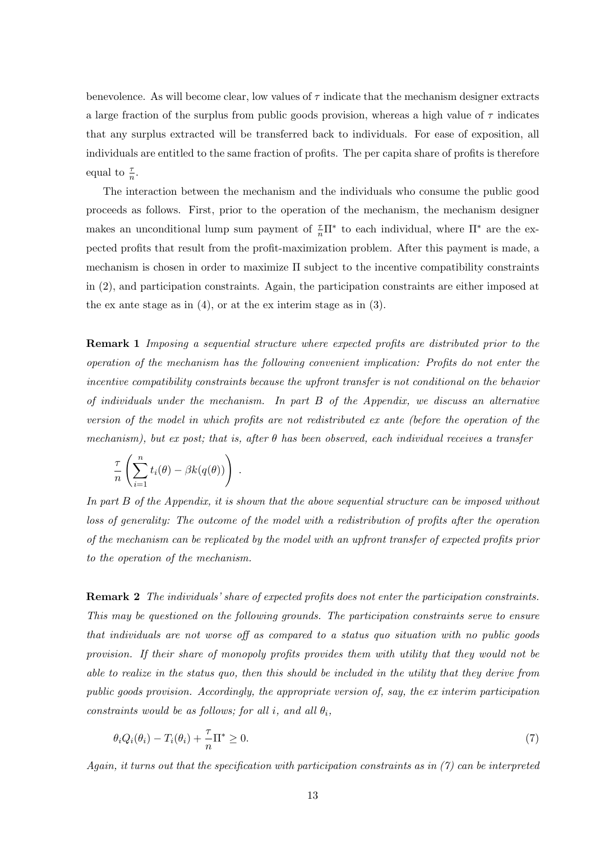benevolence. As will become clear, low values of  $\tau$  indicate that the mechanism designer extracts a large fraction of the surplus from public goods provision, whereas a high value of  $\tau$  indicates that any surplus extracted will be transferred back to individuals. For ease of exposition, all individuals are entitled to the same fraction of profits. The per capita share of profits is therefore equal to  $\frac{\tau}{n}$ .

The interaction between the mechanism and the individuals who consume the public good proceeds as follows. First, prior to the operation of the mechanism, the mechanism designer makes an unconditional lump sum payment of  $\frac{\tau}{n}\Pi^*$  to each individual, where  $\Pi^*$  are the expected profits that result from the profit-maximization problem. After this payment is made, a mechanism is chosen in order to maximize Π subject to the incentive compatibility constraints in (2), and participation constraints. Again, the participation constraints are either imposed at the ex ante stage as in (4), or at the ex interim stage as in (3).

Remark 1 Imposing a sequential structure where expected profits are distributed prior to the operation of the mechanism has the following convenient implication: Profits do not enter the incentive compatibility constraints because the upfront transfer is not conditional on the behavior of individuals under the mechanism. In part B of the Appendix, we discuss an alternative version of the model in which profits are not redistributed ex ante (before the operation of the mechanism), but ex post; that is, after  $\theta$  has been observed, each individual receives a transfer

$$
\frac{\tau}{n} \left( \sum_{i=1}^n t_i(\theta) - \beta k(q(\theta)) \right) .
$$

In part B of the Appendix, it is shown that the above sequential structure can be imposed without loss of generality: The outcome of the model with a redistribution of profits after the operation of the mechanism can be replicated by the model with an upfront transfer of expected profits prior to the operation of the mechanism.

Remark 2 The individuals' share of expected profits does not enter the participation constraints. This may be questioned on the following grounds. The participation constraints serve to ensure that individuals are not worse off as compared to a status quo situation with no public goods provision. If their share of monopoly profits provides them with utility that they would not be able to realize in the status quo, then this should be included in the utility that they derive from public goods provision. Accordingly, the appropriate version of, say, the ex interim participation constraints would be as follows; for all i, and all  $\theta_i$ ,

$$
\theta_i Q_i(\theta_i) - T_i(\theta_i) + \frac{\tau}{n} \Pi^* \ge 0.
$$
\n<sup>(7)</sup>

Again, it turns out that the specification with participation constraints as in (7) can be interpreted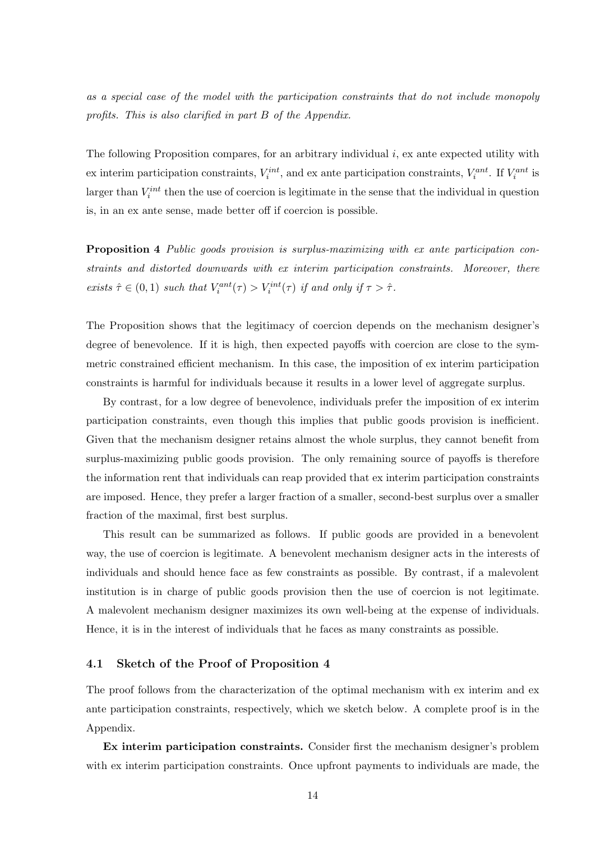as a special case of the model with the participation constraints that do not include monopoly profits. This is also clarified in part B of the Appendix.

The following Proposition compares, for an arbitrary individual i, ex ante expected utility with ex interim participation constraints,  $V_i^{int}$ , and ex ante participation constraints,  $V_i^{ant}$ . If  $V_i^{ant}$  is larger than  $V_i^{int}$  then the use of coercion is legitimate in the sense that the individual in question is, in an ex ante sense, made better off if coercion is possible.

Proposition 4 Public goods provision is surplus-maximizing with ex ante participation constraints and distorted downwards with ex interim participation constraints. Moreover, there exists  $\hat{\tau} \in (0,1)$  such that  $V_i^{ant}(\tau) > V_i^{int}(\tau)$  if and only if  $\tau > \hat{\tau}$ .

The Proposition shows that the legitimacy of coercion depends on the mechanism designer's degree of benevolence. If it is high, then expected payoffs with coercion are close to the symmetric constrained efficient mechanism. In this case, the imposition of ex interim participation constraints is harmful for individuals because it results in a lower level of aggregate surplus.

By contrast, for a low degree of benevolence, individuals prefer the imposition of ex interim participation constraints, even though this implies that public goods provision is inefficient. Given that the mechanism designer retains almost the whole surplus, they cannot benefit from surplus-maximizing public goods provision. The only remaining source of payoffs is therefore the information rent that individuals can reap provided that ex interim participation constraints are imposed. Hence, they prefer a larger fraction of a smaller, second-best surplus over a smaller fraction of the maximal, first best surplus.

This result can be summarized as follows. If public goods are provided in a benevolent way, the use of coercion is legitimate. A benevolent mechanism designer acts in the interests of individuals and should hence face as few constraints as possible. By contrast, if a malevolent institution is in charge of public goods provision then the use of coercion is not legitimate. A malevolent mechanism designer maximizes its own well-being at the expense of individuals. Hence, it is in the interest of individuals that he faces as many constraints as possible.

### 4.1 Sketch of the Proof of Proposition 4

The proof follows from the characterization of the optimal mechanism with ex interim and ex ante participation constraints, respectively, which we sketch below. A complete proof is in the Appendix.

Ex interim participation constraints. Consider first the mechanism designer's problem with ex interim participation constraints. Once upfront payments to individuals are made, the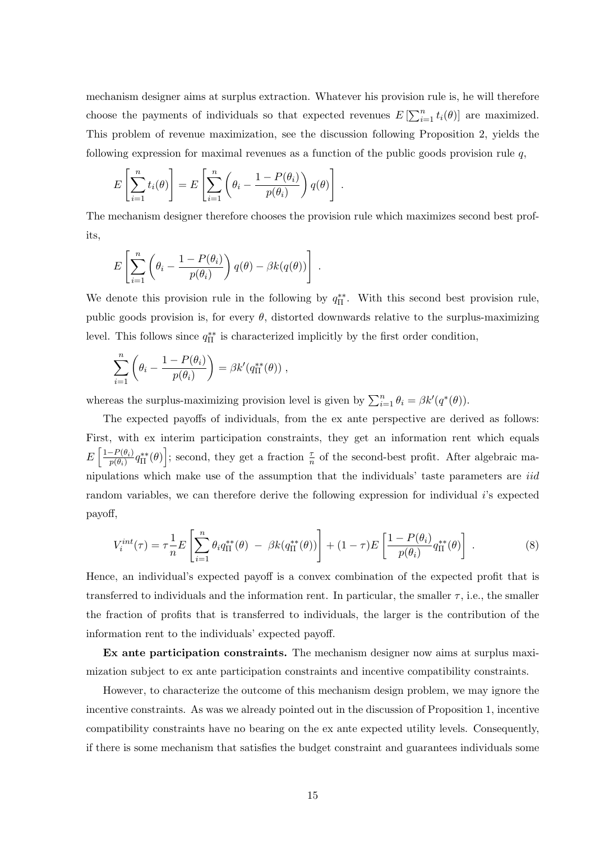mechanism designer aims at surplus extraction. Whatever his provision rule is, he will therefore choose the payments of individuals so that expected revenues  $E\left[\sum_{i=1}^{n} t_i(\theta)\right]$  are maximized. This problem of revenue maximization, see the discussion following Proposition 2, yields the following expression for maximal revenues as a function of the public goods provision rule  $q$ ,

$$
E\left[\sum_{i=1}^n t_i(\theta)\right] = E\left[\sum_{i=1}^n \left(\theta_i - \frac{1 - P(\theta_i)}{p(\theta_i)}\right) q(\theta)\right].
$$

The mechanism designer therefore chooses the provision rule which maximizes second best profits,

$$
E\left[\sum_{i=1}^n \left(\theta_i - \frac{1 - P(\theta_i)}{p(\theta_i)}\right)q(\theta) - \beta k(q(\theta))\right].
$$

We denote this provision rule in the following by  $q_{\Pi}^{**}$ . With this second best provision rule, public goods provision is, for every  $\theta$ , distorted downwards relative to the surplus-maximizing level. This follows since  $q_{\Pi}^{**}$  is characterized implicitly by the first order condition,

$$
\sum_{i=1}^n \left( \theta_i - \frac{1 - P(\theta_i)}{p(\theta_i)} \right) = \beta k' (q_{\Pi}^{**}(\theta)),
$$

whereas the surplus-maximizing provision level is given by  $\sum_{i=1}^{n} \theta_i = \beta k'(q^*(\theta)).$ 

The expected payoffs of individuals, from the ex ante perspective are derived as follows: First, with ex interim participation constraints, they get an information rent which equals  $E\left[\frac{1-P(\theta_i)}{n(\theta_i)}\right]$  $\left[\frac{-P(\theta_i)}{p(\theta_i)}q_{\Pi}^{**}(\theta)\right]$ ; second, they get a fraction  $\frac{\tau}{n}$  of the second-best profit. After algebraic manipulations which make use of the assumption that the individuals' taste parameters are iid random variables, we can therefore derive the following expression for individual  $i$ 's expected payoff,

$$
V_i^{int}(\tau) = \tau \frac{1}{n} E\left[\sum_{i=1}^n \theta_i q_{\Pi}^{**}(\theta) - \beta k (q_{\Pi}^{**}(\theta))\right] + (1 - \tau) E\left[\frac{1 - P(\theta_i)}{p(\theta_i)} q_{\Pi}^{**}(\theta)\right].
$$
 (8)

Hence, an individual's expected payoff is a convex combination of the expected profit that is transferred to individuals and the information rent. In particular, the smaller  $\tau$ , i.e., the smaller the fraction of profits that is transferred to individuals, the larger is the contribution of the information rent to the individuals' expected payoff.

Ex ante participation constraints. The mechanism designer now aims at surplus maximization subject to ex ante participation constraints and incentive compatibility constraints.

However, to characterize the outcome of this mechanism design problem, we may ignore the incentive constraints. As was we already pointed out in the discussion of Proposition 1, incentive compatibility constraints have no bearing on the ex ante expected utility levels. Consequently, if there is some mechanism that satisfies the budget constraint and guarantees individuals some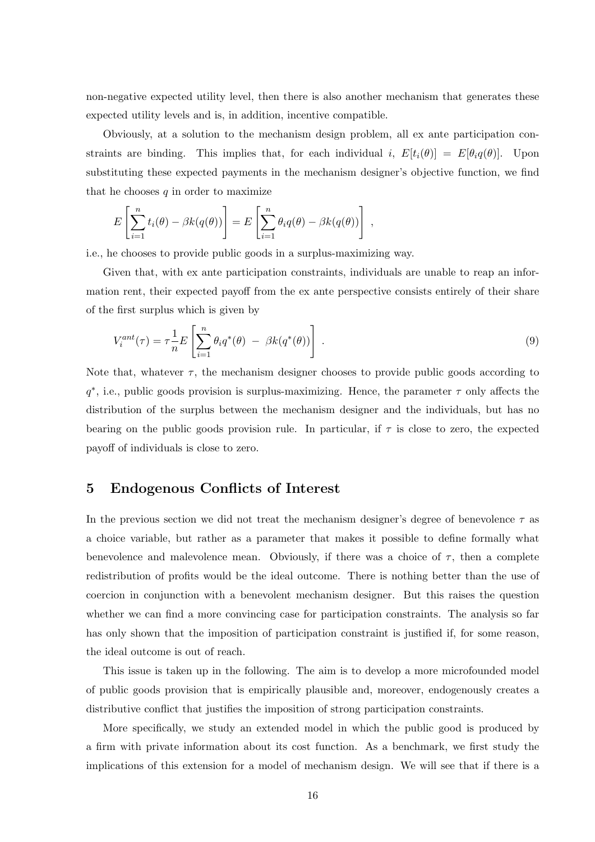non-negative expected utility level, then there is also another mechanism that generates these expected utility levels and is, in addition, incentive compatible.

Obviously, at a solution to the mechanism design problem, all ex ante participation constraints are binding. This implies that, for each individual i,  $E[t_i(\theta)] = E[\theta_i q(\theta)].$  Upon substituting these expected payments in the mechanism designer's objective function, we find that he chooses  $q$  in order to maximize

$$
E\left[\sum_{i=1}^n t_i(\theta) - \beta k(q(\theta))\right] = E\left[\sum_{i=1}^n \theta_i q(\theta) - \beta k(q(\theta))\right],
$$

i.e., he chooses to provide public goods in a surplus-maximizing way.

Given that, with ex ante participation constraints, individuals are unable to reap an information rent, their expected payoff from the ex ante perspective consists entirely of their share of the first surplus which is given by

$$
V_i^{ant}(\tau) = \tau \frac{1}{n} E\left[\sum_{i=1}^n \theta_i q^*(\theta) - \beta k(q^*(\theta))\right].
$$
\n(9)

Note that, whatever  $\tau$ , the mechanism designer chooses to provide public goods according to  $q^*$ , i.e., public goods provision is surplus-maximizing. Hence, the parameter  $\tau$  only affects the distribution of the surplus between the mechanism designer and the individuals, but has no bearing on the public goods provision rule. In particular, if  $\tau$  is close to zero, the expected payoff of individuals is close to zero.

### 5 Endogenous Conflicts of Interest

In the previous section we did not treat the mechanism designer's degree of benevolence  $\tau$  as a choice variable, but rather as a parameter that makes it possible to define formally what benevolence and malevolence mean. Obviously, if there was a choice of  $\tau$ , then a complete redistribution of profits would be the ideal outcome. There is nothing better than the use of coercion in conjunction with a benevolent mechanism designer. But this raises the question whether we can find a more convincing case for participation constraints. The analysis so far has only shown that the imposition of participation constraint is justified if, for some reason, the ideal outcome is out of reach.

This issue is taken up in the following. The aim is to develop a more microfounded model of public goods provision that is empirically plausible and, moreover, endogenously creates a distributive conflict that justifies the imposition of strong participation constraints.

More specifically, we study an extended model in which the public good is produced by a firm with private information about its cost function. As a benchmark, we first study the implications of this extension for a model of mechanism design. We will see that if there is a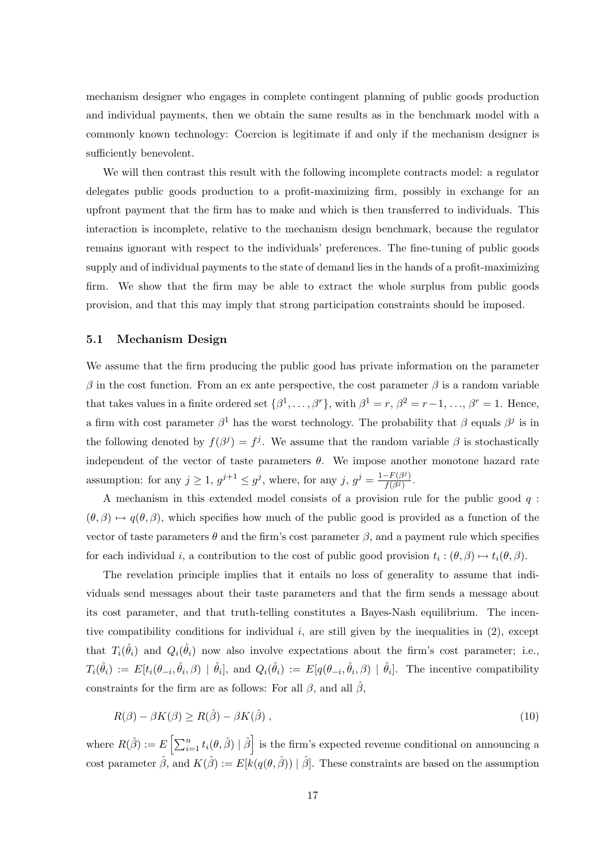mechanism designer who engages in complete contingent planning of public goods production and individual payments, then we obtain the same results as in the benchmark model with a commonly known technology: Coercion is legitimate if and only if the mechanism designer is sufficiently benevolent.

We will then contrast this result with the following incomplete contracts model: a regulator delegates public goods production to a profit-maximizing firm, possibly in exchange for an upfront payment that the firm has to make and which is then transferred to individuals. This interaction is incomplete, relative to the mechanism design benchmark, because the regulator remains ignorant with respect to the individuals' preferences. The fine-tuning of public goods supply and of individual payments to the state of demand lies in the hands of a profit-maximizing firm. We show that the firm may be able to extract the whole surplus from public goods provision, and that this may imply that strong participation constraints should be imposed.

#### 5.1 Mechanism Design

We assume that the firm producing the public good has private information on the parameter β in the cost function. From an ex ante perspective, the cost parameter β is a random variable that takes values in a finite ordered set  $\{\beta^1,\ldots,\beta^r\}$ , with  $\beta^1=r$ ,  $\beta^2=r-1$ , ...,  $\beta^r=1$ . Hence, a firm with cost parameter  $\beta^1$  has the worst technology. The probability that  $\beta$  equals  $\beta^j$  is in the following denoted by  $f(\beta^j) = f^j$ . We assume that the random variable  $\beta$  is stochastically independent of the vector of taste parameters  $\theta$ . We impose another monotone hazard rate assumption: for any  $j \geq 1$ ,  $g^{j+1} \leq g^j$ , where, for any  $j$ ,  $g^j = \frac{1 - F(\beta^j)}{f(\beta^j)}$  $\frac{-F\left( \beta ^{j}\right) }{f(\beta ^{j})}.$ 

A mechanism in this extended model consists of a provision rule for the public good  $q$ :  $(\theta, \beta) \mapsto q(\theta, \beta)$ , which specifies how much of the public good is provided as a function of the vector of taste parameters  $\theta$  and the firm's cost parameter  $\beta$ , and a payment rule which specifies for each individual *i*, a contribution to the cost of public good provision  $t_i : (\theta, \beta) \mapsto t_i(\theta, \beta)$ .

The revelation principle implies that it entails no loss of generality to assume that individuals send messages about their taste parameters and that the firm sends a message about its cost parameter, and that truth-telling constitutes a Bayes-Nash equilibrium. The incentive compatibility conditions for individual  $i$ , are still given by the inequalities in  $(2)$ , except that  $T_i(\hat{\theta}_i)$  and  $Q_i(\hat{\theta}_i)$  now also involve expectations about the firm's cost parameter; i.e.,  $T_i(\hat{\theta}_i) := E[t_i(\theta_{-i}, \hat{\theta}_i, \beta) | \hat{\theta}_i],$  and  $Q_i(\hat{\theta}_i) := E[q(\theta_{-i}, \hat{\theta}_i, \beta) | \hat{\theta}_i].$  The incentive compatibility constraints for the firm are as follows: For all  $\beta$ , and all  $\hat{\beta}$ ,

$$
R(\beta) - \beta K(\beta) \ge R(\hat{\beta}) - \beta K(\hat{\beta}), \qquad (10)
$$

where  $R(\hat{\beta}) := E\left[\sum_{i=1}^n t_i(\theta, \hat{\beta}) \mid \hat{\beta}\right]$  is the firm's expected revenue conditional on announcing a cost parameter  $\hat{\beta}$ , and  $K(\hat{\beta}) := E[k(q(\theta, \hat{\beta})) | \hat{\beta}]$ . These constraints are based on the assumption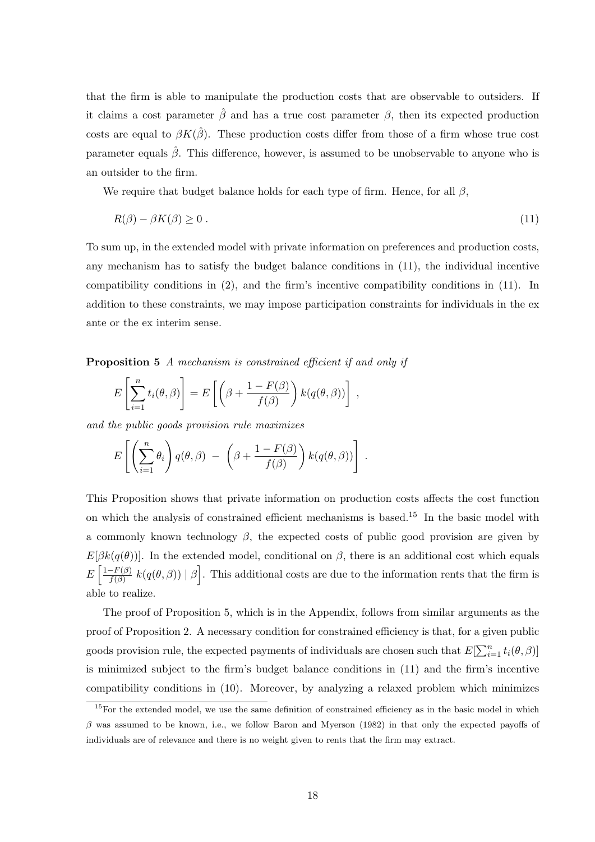that the firm is able to manipulate the production costs that are observable to outsiders. If it claims a cost parameter  $\hat{\beta}$  and has a true cost parameter  $\beta$ , then its expected production costs are equal to  $\beta K(\hat{\beta})$ . These production costs differ from those of a firm whose true cost parameter equals  $\hat{\beta}$ . This difference, however, is assumed to be unobservable to anyone who is an outsider to the firm.

We require that budget balance holds for each type of firm. Hence, for all  $\beta$ ,

$$
R(\beta) - \beta K(\beta) \ge 0 \tag{11}
$$

To sum up, in the extended model with private information on preferences and production costs, any mechanism has to satisfy the budget balance conditions in (11), the individual incentive compatibility conditions in (2), and the firm's incentive compatibility conditions in (11). In addition to these constraints, we may impose participation constraints for individuals in the ex ante or the ex interim sense.

Proposition 5 A mechanism is constrained efficient if and only if

$$
E\left[\sum_{i=1}^n t_i(\theta,\beta)\right] = E\left[\left(\beta + \frac{1 - F(\beta)}{f(\beta)}\right)k(q(\theta,\beta))\right],
$$

and the public goods provision rule maximizes

$$
E\left[\left(\sum_{i=1}^n \theta_i\right)q(\theta,\beta) - \left(\beta + \frac{1-F(\beta)}{f(\beta)}\right)k(q(\theta,\beta))\right].
$$

This Proposition shows that private information on production costs affects the cost function on which the analysis of constrained efficient mechanisms is based.<sup>15</sup> In the basic model with a commonly known technology  $\beta$ , the expected costs of public good provision are given by  $E[\beta k(q(\theta))]$ . In the extended model, conditional on  $\beta$ , there is an additional cost which equals  $E\left[\frac{1-F(\beta)}{f(\beta)}\right]$  $\frac{f^{-(F(\beta))}}{f(\beta)} k(q(\theta, \beta)) | \beta$ . This additional costs are due to the information rents that the firm is able to realize.

The proof of Proposition 5, which is in the Appendix, follows from similar arguments as the proof of Proposition 2. A necessary condition for constrained efficiency is that, for a given public goods provision rule, the expected payments of individuals are chosen such that  $E[\sum_{i=1}^{n} t_i(\theta, \beta)]$ is minimized subject to the firm's budget balance conditions in (11) and the firm's incentive compatibility conditions in (10). Moreover, by analyzing a relaxed problem which minimizes

<sup>&</sup>lt;sup>15</sup>For the extended model, we use the same definition of constrained efficiency as in the basic model in which  $\beta$  was assumed to be known, i.e., we follow Baron and Myerson (1982) in that only the expected payoffs of individuals are of relevance and there is no weight given to rents that the firm may extract.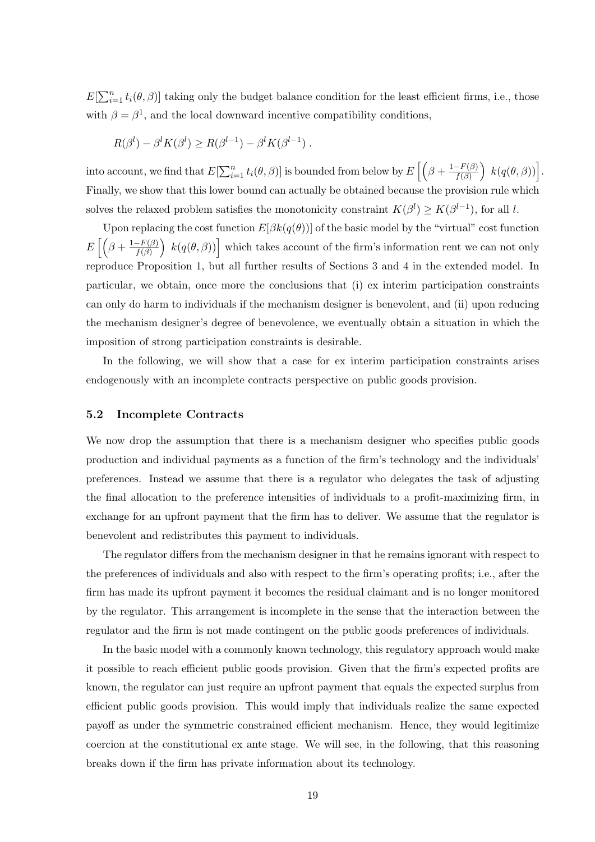$E[\sum_{i=1}^{n} t_i(\theta, \beta)]$  taking only the budget balance condition for the least efficient firms, i.e., those with  $\beta = \beta^1$ , and the local downward incentive compatibility conditions,

$$
R(\beta^l) - \beta^l K(\beta^l) \ge R(\beta^{l-1}) - \beta^l K(\beta^{l-1}).
$$

into account, we find that  $E[\sum_{i=1}^n t_i(\theta, \beta)]$  is bounded from below by  $E\left[\left(\beta + \frac{1-F(\beta)}{f(\beta)}\right)\right]$  $\frac{-F(\beta)}{f(\beta)}\bigg) k(q(\theta, \beta))\bigg].$ Finally, we show that this lower bound can actually be obtained because the provision rule which solves the relaxed problem satisfies the monotonicity constraint  $K(\beta^l) \geq K(\beta^{l-1})$ , for all l.

Upon replacing the cost function  $E[\beta k(q(\theta))]$  of the basic model by the "virtual" cost function  $E\left[\left(\beta+\frac{1-F(\beta)}{f(\beta)}\right)\right]$  $\left(\frac{F(\beta)}{f(\beta)}\right) k(q(\theta, \beta))$  which takes account of the firm's information rent we can not only reproduce Proposition 1, but all further results of Sections 3 and 4 in the extended model. In particular, we obtain, once more the conclusions that (i) ex interim participation constraints can only do harm to individuals if the mechanism designer is benevolent, and (ii) upon reducing the mechanism designer's degree of benevolence, we eventually obtain a situation in which the imposition of strong participation constraints is desirable.

In the following, we will show that a case for ex interim participation constraints arises endogenously with an incomplete contracts perspective on public goods provision.

#### 5.2 Incomplete Contracts

We now drop the assumption that there is a mechanism designer who specifies public goods production and individual payments as a function of the firm's technology and the individuals' preferences. Instead we assume that there is a regulator who delegates the task of adjusting the final allocation to the preference intensities of individuals to a profit-maximizing firm, in exchange for an upfront payment that the firm has to deliver. We assume that the regulator is benevolent and redistributes this payment to individuals.

The regulator differs from the mechanism designer in that he remains ignorant with respect to the preferences of individuals and also with respect to the firm's operating profits; i.e., after the firm has made its upfront payment it becomes the residual claimant and is no longer monitored by the regulator. This arrangement is incomplete in the sense that the interaction between the regulator and the firm is not made contingent on the public goods preferences of individuals.

In the basic model with a commonly known technology, this regulatory approach would make it possible to reach efficient public goods provision. Given that the firm's expected profits are known, the regulator can just require an upfront payment that equals the expected surplus from efficient public goods provision. This would imply that individuals realize the same expected payoff as under the symmetric constrained efficient mechanism. Hence, they would legitimize coercion at the constitutional ex ante stage. We will see, in the following, that this reasoning breaks down if the firm has private information about its technology.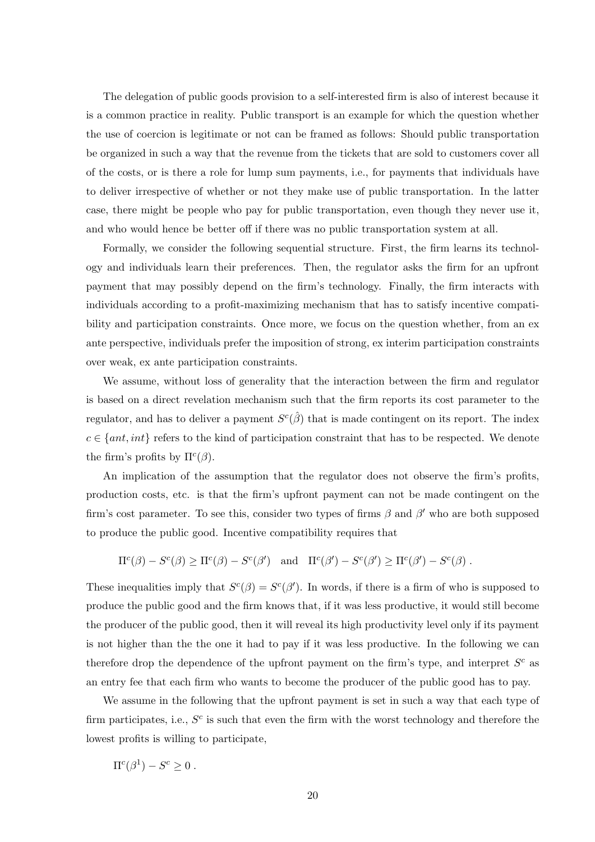The delegation of public goods provision to a self-interested firm is also of interest because it is a common practice in reality. Public transport is an example for which the question whether the use of coercion is legitimate or not can be framed as follows: Should public transportation be organized in such a way that the revenue from the tickets that are sold to customers cover all of the costs, or is there a role for lump sum payments, i.e., for payments that individuals have to deliver irrespective of whether or not they make use of public transportation. In the latter case, there might be people who pay for public transportation, even though they never use it, and who would hence be better off if there was no public transportation system at all.

Formally, we consider the following sequential structure. First, the firm learns its technology and individuals learn their preferences. Then, the regulator asks the firm for an upfront payment that may possibly depend on the firm's technology. Finally, the firm interacts with individuals according to a profit-maximizing mechanism that has to satisfy incentive compatibility and participation constraints. Once more, we focus on the question whether, from an ex ante perspective, individuals prefer the imposition of strong, ex interim participation constraints over weak, ex ante participation constraints.

We assume, without loss of generality that the interaction between the firm and regulator is based on a direct revelation mechanism such that the firm reports its cost parameter to the regulator, and has to deliver a payment  $S^c(\hat{\beta})$  that is made contingent on its report. The index  $c \in \{ant, int\}$  refers to the kind of participation constraint that has to be respected. We denote the firm's profits by  $\Pi^c(\beta)$ .

An implication of the assumption that the regulator does not observe the firm's profits, production costs, etc. is that the firm's upfront payment can not be made contingent on the firm's cost parameter. To see this, consider two types of firms  $\beta$  and  $\beta'$  who are both supposed to produce the public good. Incentive compatibility requires that

$$
\Pi^{c}(\beta) - S^{c}(\beta) \geq \Pi^{c}(\beta) - S^{c}(\beta') \quad \text{and} \quad \Pi^{c}(\beta') - S^{c}(\beta') \geq \Pi^{c}(\beta') - S^{c}(\beta) .
$$

These inequalities imply that  $S<sup>c</sup>(\beta) = S<sup>c</sup>(\beta')$ . In words, if there is a firm of who is supposed to produce the public good and the firm knows that, if it was less productive, it would still become the producer of the public good, then it will reveal its high productivity level only if its payment is not higher than the the one it had to pay if it was less productive. In the following we can therefore drop the dependence of the upfront payment on the firm's type, and interpret  $S^c$  as an entry fee that each firm who wants to become the producer of the public good has to pay.

We assume in the following that the upfront payment is set in such a way that each type of firm participates, i.e.,  $S<sup>c</sup>$  is such that even the firm with the worst technology and therefore the lowest profits is willing to participate,

 $\Pi^c(\beta^1) - S^c \geq 0$ .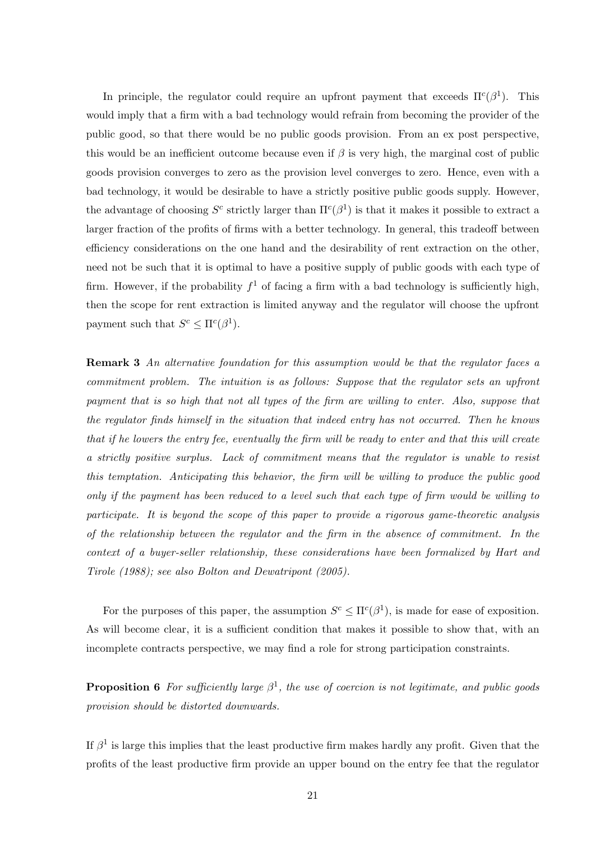In principle, the regulator could require an upfront payment that exceeds  $\Pi^c(\beta^1)$ . This would imply that a firm with a bad technology would refrain from becoming the provider of the public good, so that there would be no public goods provision. From an ex post perspective, this would be an inefficient outcome because even if  $\beta$  is very high, the marginal cost of public goods provision converges to zero as the provision level converges to zero. Hence, even with a bad technology, it would be desirable to have a strictly positive public goods supply. However, the advantage of choosing  $S^c$  strictly larger than  $\Pi^c(\beta^1)$  is that it makes it possible to extract a larger fraction of the profits of firms with a better technology. In general, this tradeoff between efficiency considerations on the one hand and the desirability of rent extraction on the other, need not be such that it is optimal to have a positive supply of public goods with each type of firm. However, if the probability  $f^1$  of facing a firm with a bad technology is sufficiently high, then the scope for rent extraction is limited anyway and the regulator will choose the upfront payment such that  $S^c \leq \Pi^c(\beta^1)$ .

Remark 3 An alternative foundation for this assumption would be that the regulator faces a commitment problem. The intuition is as follows: Suppose that the regulator sets an upfront payment that is so high that not all types of the firm are willing to enter. Also, suppose that the regulator finds himself in the situation that indeed entry has not occurred. Then he knows that if he lowers the entry fee, eventually the firm will be ready to enter and that this will create a strictly positive surplus. Lack of commitment means that the regulator is unable to resist this temptation. Anticipating this behavior, the firm will be willing to produce the public good only if the payment has been reduced to a level such that each type of firm would be willing to participate. It is beyond the scope of this paper to provide a rigorous game-theoretic analysis of the relationship between the regulator and the firm in the absence of commitment. In the context of a buyer-seller relationship, these considerations have been formalized by Hart and Tirole (1988); see also Bolton and Dewatripont (2005).

For the purposes of this paper, the assumption  $S^c \leq \Pi^c(\beta^1)$ , is made for ease of exposition. As will become clear, it is a sufficient condition that makes it possible to show that, with an incomplete contracts perspective, we may find a role for strong participation constraints.

**Proposition 6** For sufficiently large  $\beta^1$ , the use of coercion is not legitimate, and public goods provision should be distorted downwards.

If  $\beta^1$  is large this implies that the least productive firm makes hardly any profit. Given that the profits of the least productive firm provide an upper bound on the entry fee that the regulator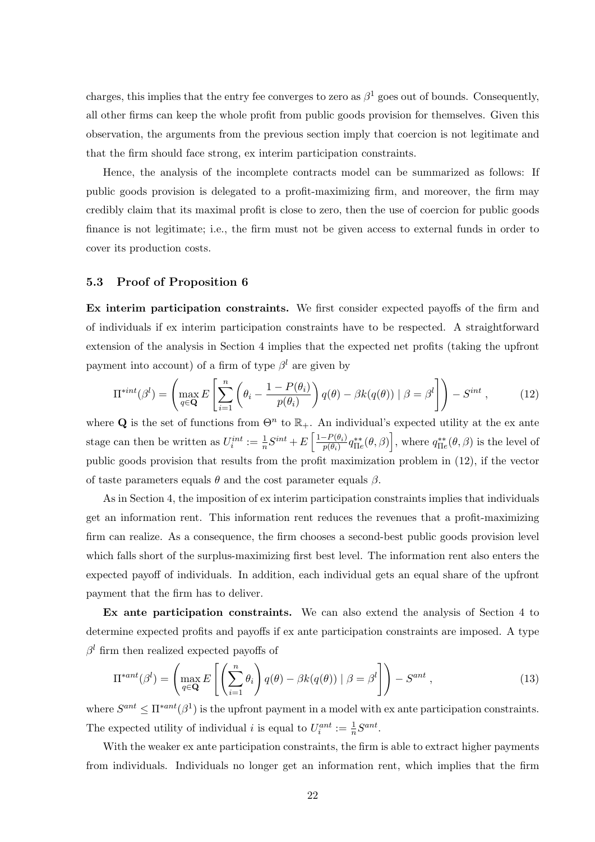charges, this implies that the entry fee converges to zero as  $\beta^1$  goes out of bounds. Consequently, all other firms can keep the whole profit from public goods provision for themselves. Given this observation, the arguments from the previous section imply that coercion is not legitimate and that the firm should face strong, ex interim participation constraints.

Hence, the analysis of the incomplete contracts model can be summarized as follows: If public goods provision is delegated to a profit-maximizing firm, and moreover, the firm may credibly claim that its maximal profit is close to zero, then the use of coercion for public goods finance is not legitimate; i.e., the firm must not be given access to external funds in order to cover its production costs.

### 5.3 Proof of Proposition 6

Ex interim participation constraints. We first consider expected payoffs of the firm and of individuals if ex interim participation constraints have to be respected. A straightforward extension of the analysis in Section 4 implies that the expected net profits (taking the upfront payment into account) of a firm of type  $\beta^l$  are given by

$$
\Pi^{*int}(\beta^l) = \left(\max_{q \in \mathbf{Q}} E\left[\sum_{i=1}^n \left(\theta_i - \frac{1 - P(\theta_i)}{p(\theta_i)}\right)q(\theta) - \beta k(q(\theta)) \mid \beta = \beta^l\right]\right) - S^{int},\tag{12}
$$

where Q is the set of functions from  $\Theta^n$  to  $\mathbb{R}_+$ . An individual's expected utility at the ex ante stage can then be written as  $U_i^{int} := \frac{1}{n} S^{int} + E \left[ \frac{1 - P(\theta_i)}{p(\theta_i)} \right]$  $\frac{(-P(\theta_i)}{P(\theta_i)}q_{\Pi e}^{**}(\theta,\beta)\Big]$ , where  $q_{\Pi e}^{**}(\theta,\beta)$  is the level of public goods provision that results from the profit maximization problem in (12), if the vector of taste parameters equals  $\theta$  and the cost parameter equals  $\beta$ .

As in Section 4, the imposition of ex interim participation constraints implies that individuals get an information rent. This information rent reduces the revenues that a profit-maximizing firm can realize. As a consequence, the firm chooses a second-best public goods provision level which falls short of the surplus-maximizing first best level. The information rent also enters the expected payoff of individuals. In addition, each individual gets an equal share of the upfront payment that the firm has to deliver.

Ex ante participation constraints. We can also extend the analysis of Section 4 to determine expected profits and payoffs if ex ante participation constraints are imposed. A type  $\beta^l$  firm then realized expected payoffs of

$$
\Pi^{*ant}(\beta^l) = \left(\max_{q \in \mathbf{Q}} E\left[\left(\sum_{i=1}^n \theta_i\right) q(\theta) - \beta k(q(\theta)) \mid \beta = \beta^l\right]\right) - S^{ant} ,\qquad (13)
$$

where  $S^{ant} \leq \Pi^{*ant}(\beta^1)$  is the upfront payment in a model with ex ante participation constraints. The expected utility of individual *i* is equal to  $U_i^{ant} := \frac{1}{n} S^{ant}$ .

With the weaker ex ante participation constraints, the firm is able to extract higher payments from individuals. Individuals no longer get an information rent, which implies that the firm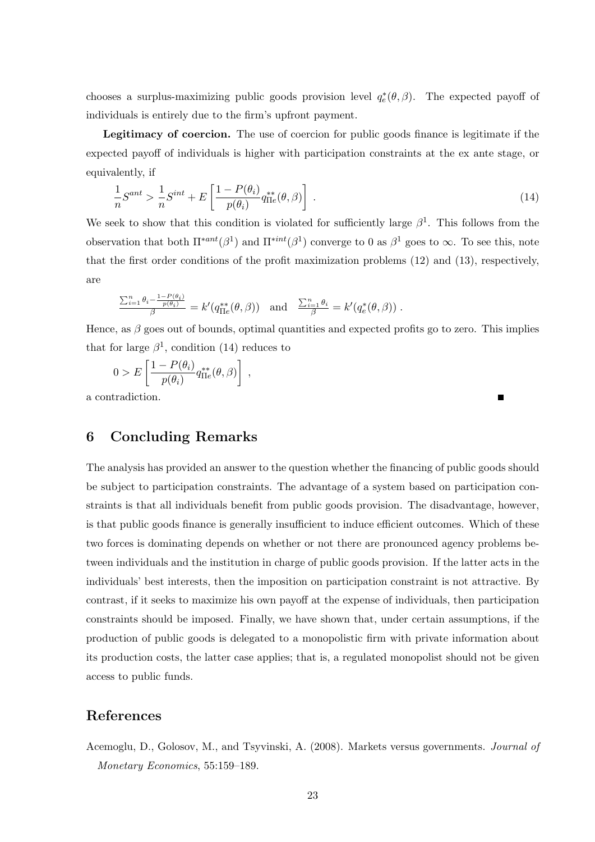chooses a surplus-maximizing public goods provision level  $q_e^*(\theta, \beta)$ . The expected payoff of individuals is entirely due to the firm's upfront payment.

Legitimacy of coercion. The use of coercion for public goods finance is legitimate if the expected payoff of individuals is higher with participation constraints at the ex ante stage, or equivalently, if

$$
\frac{1}{n}S^{ant} > \frac{1}{n}S^{int} + E\left[\frac{1 - P(\theta_i)}{p(\theta_i)} q_{\text{II}e}^{**}(\theta, \beta)\right] \tag{14}
$$

We seek to show that this condition is violated for sufficiently large  $\beta^1$ . This follows from the observation that both  $\Pi^{*ant}(\beta^1)$  and  $\Pi^{*int}(\beta^1)$  converge to 0 as  $\beta^1$  goes to  $\infty$ . To see this, note that the first order conditions of the profit maximization problems (12) and (13), respectively, are

$$
\frac{\sum_{i=1}^n \theta_i - \frac{1-P(\theta_i)}{P(\theta_i)}}{\beta} = k'(q_{\Pi e}^{**}(\theta, \beta)) \text{ and } \frac{\sum_{i=1}^n \theta_i}{\beta} = k'(q_e^{*}(\theta, \beta)).
$$

Hence, as  $\beta$  goes out of bounds, optimal quantities and expected profits go to zero. This implies that for large  $\beta^1$ , condition (14) reduces to

Ē

$$
0 > E\left[\frac{1 - P(\theta_i)}{p(\theta_i)} q_{\Pi e}^{**}(\theta, \beta)\right],
$$

a contradiction.

### 6 Concluding Remarks

The analysis has provided an answer to the question whether the financing of public goods should be subject to participation constraints. The advantage of a system based on participation constraints is that all individuals benefit from public goods provision. The disadvantage, however, is that public goods finance is generally insufficient to induce efficient outcomes. Which of these two forces is dominating depends on whether or not there are pronounced agency problems between individuals and the institution in charge of public goods provision. If the latter acts in the individuals' best interests, then the imposition on participation constraint is not attractive. By contrast, if it seeks to maximize his own payoff at the expense of individuals, then participation constraints should be imposed. Finally, we have shown that, under certain assumptions, if the production of public goods is delegated to a monopolistic firm with private information about its production costs, the latter case applies; that is, a regulated monopolist should not be given access to public funds.

### References

Acemoglu, D., Golosov, M., and Tsyvinski, A. (2008). Markets versus governments. Journal of Monetary Economics, 55:159–189.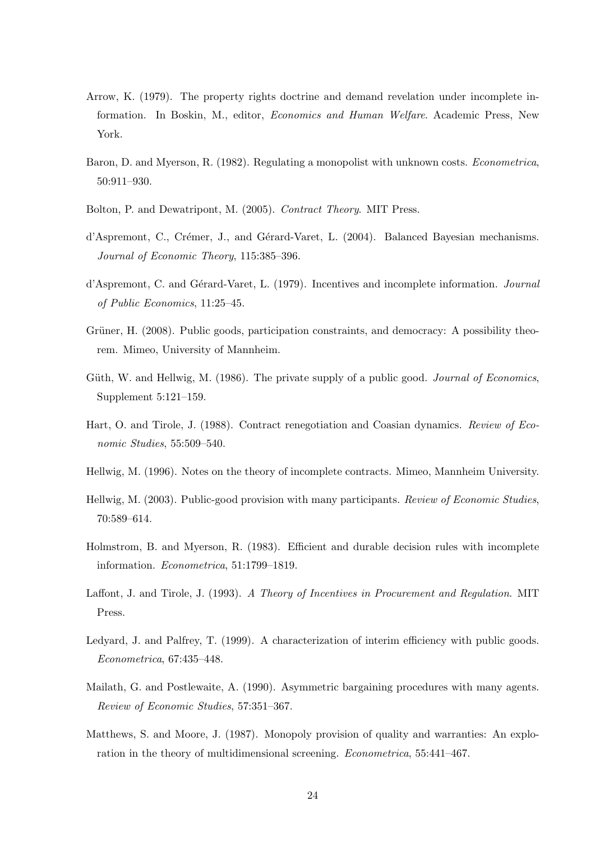- Arrow, K. (1979). The property rights doctrine and demand revelation under incomplete information. In Boskin, M., editor, Economics and Human Welfare. Academic Press, New York.
- Baron, D. and Myerson, R. (1982). Regulating a monopolist with unknown costs. Econometrica, 50:911–930.
- Bolton, P. and Dewatripont, M. (2005). Contract Theory. MIT Press.
- d'Aspremont, C., Crémer, J., and Gérard-Varet, L. (2004). Balanced Bayesian mechanisms. Journal of Economic Theory, 115:385–396.
- d'Aspremont, C. and Gérard-Varet, L. (1979). Incentives and incomplete information. Journal of Public Economics, 11:25–45.
- Grüner, H. (2008). Public goods, participation constraints, and democracy: A possibility theorem. Mimeo, University of Mannheim.
- Güth, W. and Hellwig, M. (1986). The private supply of a public good. *Journal of Economics*, Supplement 5:121–159.
- Hart, O. and Tirole, J. (1988). Contract renegotiation and Coasian dynamics. Review of Economic Studies, 55:509–540.
- Hellwig, M. (1996). Notes on the theory of incomplete contracts. Mimeo, Mannheim University.
- Hellwig, M. (2003). Public-good provision with many participants. Review of Economic Studies, 70:589–614.
- Holmstrom, B. and Myerson, R. (1983). Efficient and durable decision rules with incomplete information. Econometrica, 51:1799–1819.
- Laffont, J. and Tirole, J. (1993). A Theory of Incentives in Procurement and Regulation. MIT Press.
- Ledyard, J. and Palfrey, T. (1999). A characterization of interim efficiency with public goods. Econometrica, 67:435–448.
- Mailath, G. and Postlewaite, A. (1990). Asymmetric bargaining procedures with many agents. Review of Economic Studies, 57:351–367.
- Matthews, S. and Moore, J. (1987). Monopoly provision of quality and warranties: An exploration in the theory of multidimensional screening. Econometrica, 55:441–467.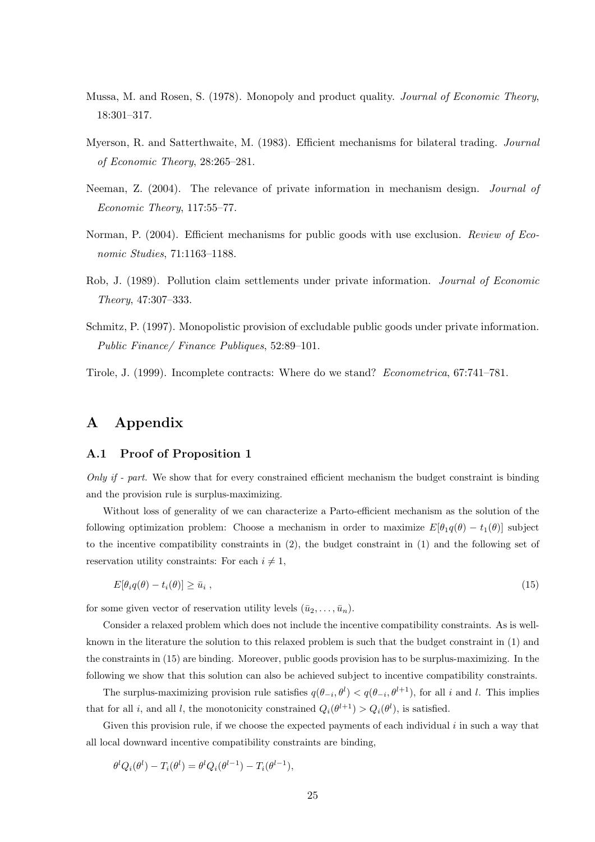- Mussa, M. and Rosen, S. (1978). Monopoly and product quality. Journal of Economic Theory, 18:301–317.
- Myerson, R. and Satterthwaite, M. (1983). Efficient mechanisms for bilateral trading. Journal of Economic Theory, 28:265–281.
- Neeman, Z. (2004). The relevance of private information in mechanism design. Journal of Economic Theory, 117:55–77.
- Norman, P. (2004). Efficient mechanisms for public goods with use exclusion. Review of Economic Studies, 71:1163–1188.
- Rob, J. (1989). Pollution claim settlements under private information. Journal of Economic Theory, 47:307–333.
- Schmitz, P. (1997). Monopolistic provision of excludable public goods under private information. Public Finance/ Finance Publiques, 52:89–101.
- Tirole, J. (1999). Incomplete contracts: Where do we stand? Econometrica, 67:741–781.

### A Appendix

### A.1 Proof of Proposition 1

Only if - part. We show that for every constrained efficient mechanism the budget constraint is binding and the provision rule is surplus-maximizing.

Without loss of generality of we can characterize a Parto-efficient mechanism as the solution of the following optimization problem: Choose a mechanism in order to maximize  $E[\theta_1 q(\theta) - t_1(\theta)]$  subject to the incentive compatibility constraints in (2), the budget constraint in (1) and the following set of reservation utility constraints: For each  $i \neq 1$ ,

$$
E[\theta_i q(\theta) - t_i(\theta)] \ge \bar{u}_i , \qquad (15)
$$

for some given vector of reservation utility levels  $(\bar{u}_2, \ldots, \bar{u}_n)$ .

Consider a relaxed problem which does not include the incentive compatibility constraints. As is wellknown in the literature the solution to this relaxed problem is such that the budget constraint in (1) and the constraints in (15) are binding. Moreover, public goods provision has to be surplus-maximizing. In the following we show that this solution can also be achieved subject to incentive compatibility constraints.

The surplus-maximizing provision rule satisfies  $q(\theta_{-i}, \theta^l) < q(\theta_{-i}, \theta^{l+1})$ , for all i and l. This implies that for all i, and all l, the monotonicity constrained  $Q_i(\theta^{l+1}) > Q_i(\theta^l)$ , is satisfied.

Given this provision rule, if we choose the expected payments of each individual i in such a way that all local downward incentive compatibility constraints are binding,

$$
\theta^l Q_i(\theta^l) - T_i(\theta^l) = \theta^l Q_i(\theta^{l-1}) - T_i(\theta^{l-1}),
$$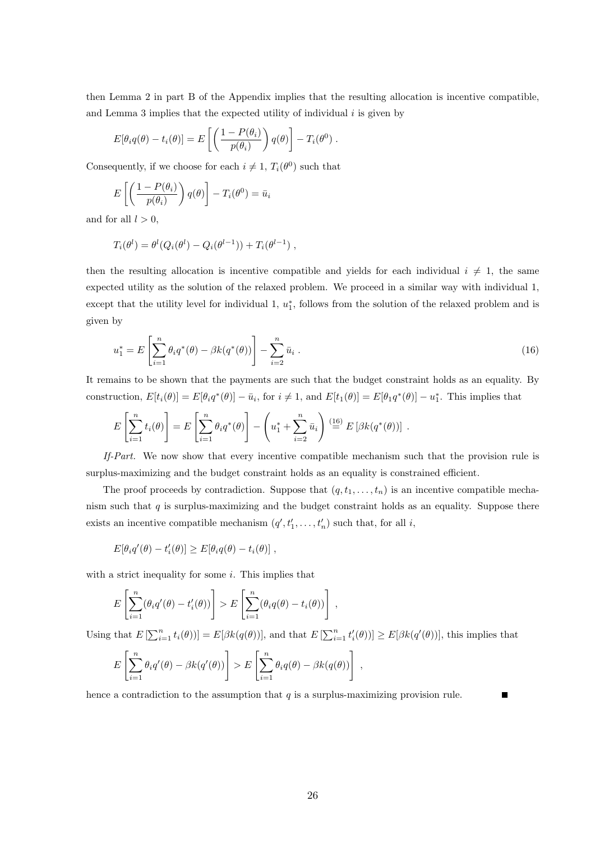then Lemma 2 in part B of the Appendix implies that the resulting allocation is incentive compatible, and Lemma 3 implies that the expected utility of individual  $i$  is given by

$$
E[\theta_i q(\theta) - t_i(\theta)] = E\left[\left(\frac{1 - P(\theta_i)}{p(\theta_i)}\right)q(\theta)\right] - T_i(\theta^0).
$$

Consequently, if we choose for each  $i \neq 1$ ,  $T_i(\theta^0)$  such that

$$
E\left[\left(\frac{1-P(\theta_i)}{p(\theta_i)}\right)q(\theta)\right]-T_i(\theta^0)=\bar{u}_i
$$

and for all  $l > 0$ ,

$$
T_i(\theta^l) = \theta^l(Q_i(\theta^l) - Q_i(\theta^{l-1})) + T_i(\theta^{l-1}),
$$

then the resulting allocation is incentive compatible and yields for each individual  $i \neq 1$ , the same expected utility as the solution of the relaxed problem. We proceed in a similar way with individual 1, except that the utility level for individual 1,  $u_1^*$ , follows from the solution of the relaxed problem and is given by

$$
u_1^* = E\left[\sum_{i=1}^n \theta_i q^*(\theta) - \beta k(q^*(\theta))\right] - \sum_{i=2}^n \bar{u}_i.
$$
 (16)

It remains to be shown that the payments are such that the budget constraint holds as an equality. By construction,  $E[t_i(\theta)] = E[\theta_i q^*(\theta)] - \bar{u}_i$ , for  $i \neq 1$ , and  $E[t_1(\theta)] = E[\theta_1 q^*(\theta)] - u_1^*$ . This implies that

$$
E\left[\sum_{i=1}^n t_i(\theta)\right] = E\left[\sum_{i=1}^n \theta_i q^*(\theta)\right] - \left(u_1^* + \sum_{i=2}^n \bar{u}_i\right) \stackrel{(16)}{=} E\left[\beta k(q^*(\theta))\right].
$$

If-Part. We now show that every incentive compatible mechanism such that the provision rule is surplus-maximizing and the budget constraint holds as an equality is constrained efficient.

The proof proceeds by contradiction. Suppose that  $(q, t_1, \ldots, t_n)$  is an incentive compatible mechanism such that  $q$  is surplus-maximizing and the budget constraint holds as an equality. Suppose there exists an incentive compatible mechanism  $(q', t'_1, \ldots, t'_n)$  such that, for all i,

$$
E[\theta_i q'(\theta) - t'_i(\theta)] \ge E[\theta_i q(\theta) - t_i(\theta)],
$$

with a strict inequality for some  $i$ . This implies that

$$
E\left[\sum_{i=1}^n(\theta_i q'(\theta)-t'_i(\theta))\right] > E\left[\sum_{i=1}^n(\theta_i q(\theta)-t_i(\theta))\right],
$$

Using that  $E\left[\sum_{i=1}^n t_i(\theta)\right] = E[\beta k(q(\theta))],$  and that  $E\left[\sum_{i=1}^n t'_i(\theta)\right] \ge E[\beta k(q'(\theta))],$  this implies that

$$
E\left[\sum_{i=1}^n \theta_i q'(\theta) - \beta k(q'(\theta))\right] > E\left[\sum_{i=1}^n \theta_i q(\theta) - \beta k(q(\theta))\right],
$$

hence a contradiction to the assumption that  $q$  is a surplus-maximizing provision rule.  $\blacksquare$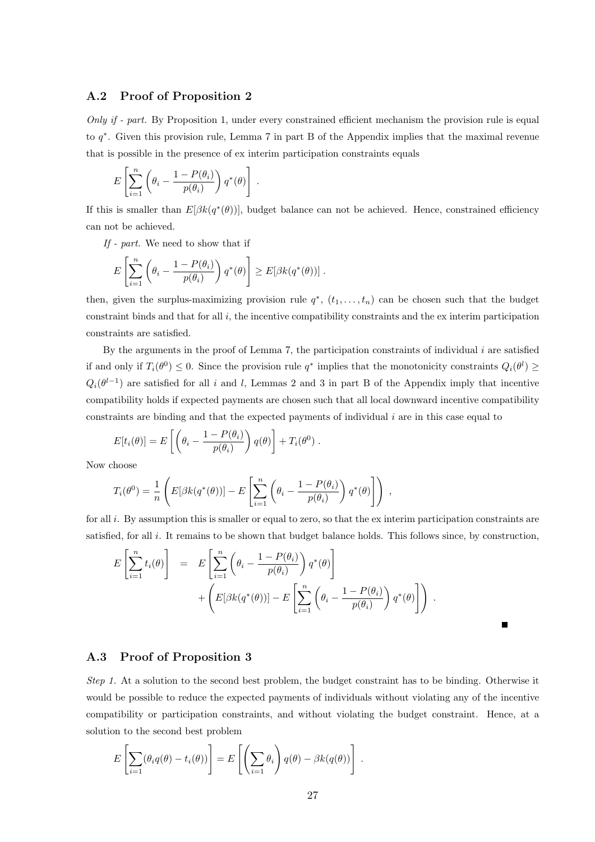### A.2 Proof of Proposition 2

Only if - part. By Proposition 1, under every constrained efficient mechanism the provision rule is equal to q ∗ . Given this provision rule, Lemma 7 in part B of the Appendix implies that the maximal revenue that is possible in the presence of ex interim participation constraints equals

$$
E\left[\sum_{i=1}^n \left(\theta_i - \frac{1-P(\theta_i)}{p(\theta_i)}\right) q^*(\theta)\right].
$$

If this is smaller than  $E[\beta k(q^*(\theta))]$ , budget balance can not be achieved. Hence, constrained efficiency can not be achieved.

If - part. We need to show that if

$$
E\left[\sum_{i=1}^n \left(\theta_i - \frac{1-P(\theta_i)}{p(\theta_i)}\right) q^*(\theta)\right] \geq E[\beta k(q^*(\theta))].
$$

then, given the surplus-maximizing provision rule  $q^*$ ,  $(t_1, \ldots, t_n)$  can be chosen such that the budget constraint binds and that for all i, the incentive compatibility constraints and the ex interim participation constraints are satisfied.

By the arguments in the proof of Lemma 7, the participation constraints of individual  $i$  are satisfied if and only if  $T_i(\theta^0) \leq 0$ . Since the provision rule  $q^*$  implies that the monotonicity constraints  $Q_i(\theta^l) \geq$  $Q_i(\theta^{l-1})$  are satisfied for all i and l, Lemmas 2 and 3 in part B of the Appendix imply that incentive compatibility holds if expected payments are chosen such that all local downward incentive compatibility constraints are binding and that the expected payments of individual  $i$  are in this case equal to

$$
E[t_i(\theta)] = E\left[\left(\theta_i - \frac{1 - P(\theta_i)}{p(\theta_i)}\right)q(\theta)\right] + T_i(\theta^0).
$$

Now choose

$$
T_i(\theta^0) = \frac{1}{n} \left( E[\beta k(q^*(\theta))] - E\left[ \sum_{i=1}^n \left( \theta_i - \frac{1 - P(\theta_i)}{p(\theta_i)} \right) q^*(\theta) \right] \right) ,
$$

for all i. By assumption this is smaller or equal to zero, so that the ex interim participation constraints are satisfied, for all i. It remains to be shown that budget balance holds. This follows since, by construction,

$$
E\left[\sum_{i=1}^{n} t_i(\theta)\right] = E\left[\sum_{i=1}^{n} \left(\theta_i - \frac{1 - P(\theta_i)}{p(\theta_i)}\right) q^*(\theta)\right] + \left(E[\beta k(q^*(\theta))] - E\left[\sum_{i=1}^{n} \left(\theta_i - \frac{1 - P(\theta_i)}{p(\theta_i)}\right) q^*(\theta)\right]\right).
$$

### A.3 Proof of Proposition 3

Step 1. At a solution to the second best problem, the budget constraint has to be binding. Otherwise it would be possible to reduce the expected payments of individuals without violating any of the incentive compatibility or participation constraints, and without violating the budget constraint. Hence, at a solution to the second best problem

$$
E\left[\sum_{i=1}(\theta_i q(\theta) - t_i(\theta))\right] = E\left[\left(\sum_{i=1} \theta_i\right)q(\theta) - \beta k(q(\theta))\right].
$$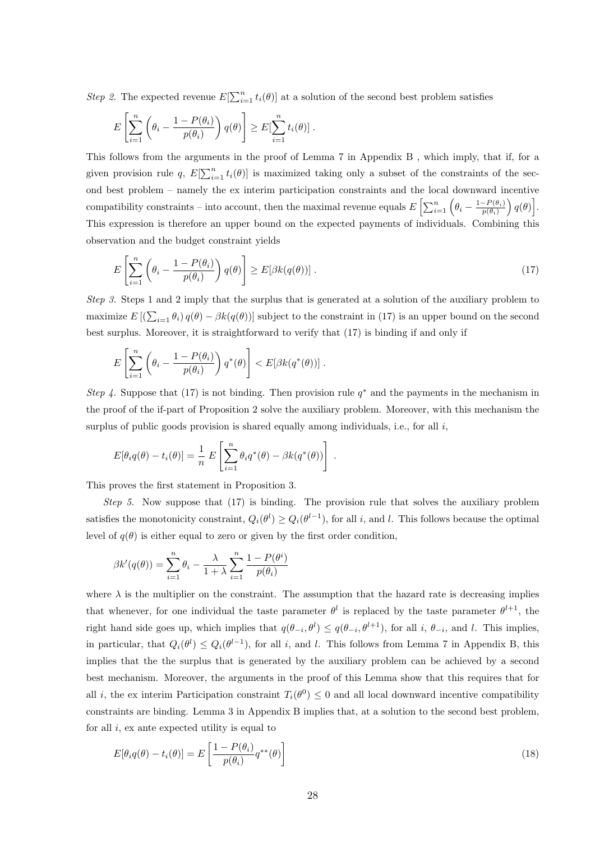Step 2. The expected revenue  $E[\sum_{i=1}^{n} t_i(\theta)]$  at a solution of the second best problem satisfies

$$
E\left[\sum_{i=1}^n \left(\theta_i - \frac{1-P(\theta_i)}{p(\theta_i)}\right)q(\theta)\right] \geq E[\sum_{i=1}^n t_i(\theta)].
$$

This follows from the arguments in the proof of Lemma 7 in Appendix B , which imply, that if, for a given provision rule q,  $E[\sum_{i=1}^{n} t_i(\theta)]$  is maximized taking only a subset of the constraints of the second best problem – namely the ex interim participation constraints and the local downward incentive compatibility constraints – into account, then the maximal revenue equals  $E\left[\sum_{i=1}^{n}\left(\theta_i-\frac{1-P(\theta_i)}{p(\theta_i)}\right)\right]$  $\left[\frac{-P(\theta_i)}{p(\theta_i)}\right)q(\theta)\right].$ This expression is therefore an upper bound on the expected payments of individuals. Combining this observation and the budget constraint yields

$$
E\left[\sum_{i=1}^{n} \left(\theta_i - \frac{1 - P(\theta_i)}{p(\theta_i)}\right) q(\theta)\right] \ge E[\beta k(q(\theta))].
$$
\n(17)

Step 3. Steps 1 and 2 imply that the surplus that is generated at a solution of the auxiliary problem to maximize  $E[(\sum_{i=1} \theta_i) q(\theta) - \beta k(q(\theta))]$  subject to the constraint in (17) is an upper bound on the second best surplus. Moreover, it is straightforward to verify that (17) is binding if and only if

$$
E\left[\sum_{i=1}^n \left(\theta_i - \frac{1-P(\theta_i)}{p(\theta_i)}\right) q^*(\theta)\right] < E[\beta k(q^*(\theta))].
$$

Step 4. Suppose that (17) is not binding. Then provision rule  $q^*$  and the payments in the mechanism in the proof of the if-part of Proposition 2 solve the auxiliary problem. Moreover, with this mechanism the surplus of public goods provision is shared equally among individuals, i.e., for all  $i$ ,

$$
E[\theta_i q(\theta) - t_i(\theta)] = \frac{1}{n} E\left[\sum_{i=1}^n \theta_i q^*(\theta) - \beta k(q^*(\theta))\right].
$$

This proves the first statement in Proposition 3.

Step 5. Now suppose that (17) is binding. The provision rule that solves the auxiliary problem satisfies the monotonicity constraint,  $Q_i(\theta^l) \geq Q_i(\theta^{l-1})$ , for all i, and l. This follows because the optimal level of  $q(\theta)$  is either equal to zero or given by the first order condition.

$$
\beta k'(q(\theta)) = \sum_{i=1}^{n} \theta_i - \frac{\lambda}{1+\lambda} \sum_{i=1}^{n} \frac{1-P(\theta^i)}{p(\theta_i)}
$$

where  $\lambda$  is the multiplier on the constraint. The assumption that the hazard rate is decreasing implies that whenever, for one individual the taste parameter  $\theta^l$  is replaced by the taste parameter  $\theta^{l+1}$ , the right hand side goes up, which implies that  $q(\theta_{-i}, \theta^l) \leq q(\theta_{-i}, \theta^{l+1})$ , for all i,  $\theta_{-i}$ , and l. This implies, in particular, that  $Q_i(\theta^l) \leq Q_i(\theta^{l-1})$ , for all i, and l. This follows from Lemma 7 in Appendix B, this implies that the the surplus that is generated by the auxiliary problem can be achieved by a second best mechanism. Moreover, the arguments in the proof of this Lemma show that this requires that for all *i*, the ex interim Participation constraint  $T_i(\theta^0) \leq 0$  and all local downward incentive compatibility constraints are binding. Lemma 3 in Appendix B implies that, at a solution to the second best problem, for all  $i$ , ex ante expected utility is equal to

$$
E[\theta_i q(\theta) - t_i(\theta)] = E\left[\frac{1 - P(\theta_i)}{p(\theta_i)} q^{**}(\theta)\right]
$$
\n(18)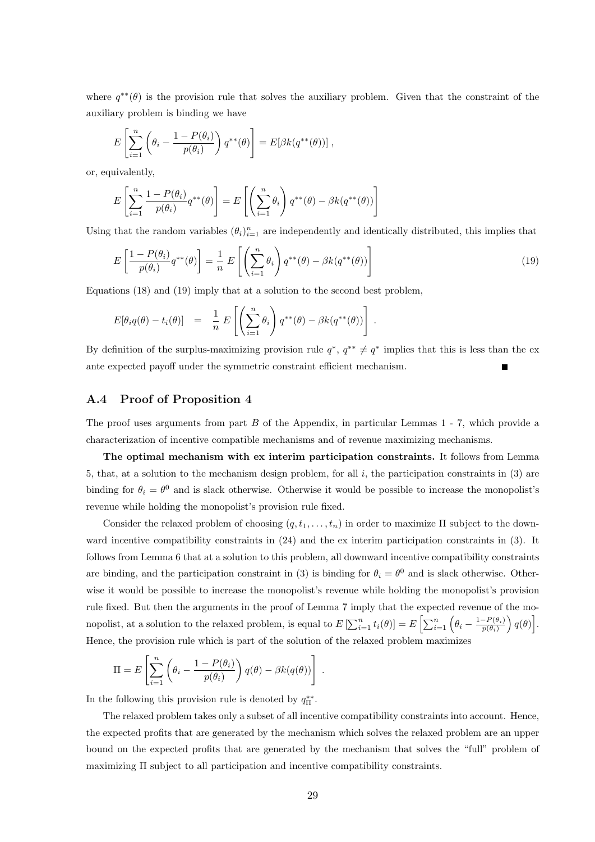where  $q^{**}(\theta)$  is the provision rule that solves the auxiliary problem. Given that the constraint of the auxiliary problem is binding we have

$$
E\left[\sum_{i=1}^n \left(\theta_i - \frac{1 - P(\theta_i)}{p(\theta_i)}\right) q^{**}(\theta)\right] = E[\beta k(q^{**}(\theta))] ,
$$

or, equivalently,

$$
E\left[\sum_{i=1}^{n} \frac{1 - P(\theta_i)}{p(\theta_i)} q^{**}(\theta)\right] = E\left[\left(\sum_{i=1}^{n} \theta_i\right) q^{**}(\theta) - \beta k(q^{**}(\theta))\right]
$$

Using that the random variables  $(\theta_i)_{i=1}^n$  are independently and identically distributed, this implies that

$$
E\left[\frac{1-P(\theta_i)}{p(\theta_i)}q^{**}(\theta)\right] = \frac{1}{n}E\left[\left(\sum_{i=1}^n \theta_i\right)q^{**}(\theta) - \beta k(q^{**}(\theta))\right]
$$
\n(19)

Equations (18) and (19) imply that at a solution to the second best problem,

$$
E[\theta_i q(\theta) - t_i(\theta)] = \frac{1}{n} E\left[\left(\sum_{i=1}^n \theta_i\right) q^{**}(\theta) - \beta k(q^{**}(\theta))\right].
$$

By definition of the surplus-maximizing provision rule  $q^*, q^{**} \neq q^*$  implies that this is less than the exante expected payoff under the symmetric constraint efficient mechanism.

### A.4 Proof of Proposition 4

The proof uses arguments from part B of the Appendix, in particular Lemmas 1 - 7, which provide a characterization of incentive compatible mechanisms and of revenue maximizing mechanisms.

The optimal mechanism with ex interim participation constraints. It follows from Lemma 5, that, at a solution to the mechanism design problem, for all  $i$ , the participation constraints in (3) are binding for  $\theta_i = \theta^0$  and is slack otherwise. Otherwise it would be possible to increase the monopolist's revenue while holding the monopolist's provision rule fixed.

Consider the relaxed problem of choosing  $(q, t_1, \ldots, t_n)$  in order to maximize  $\Pi$  subject to the downward incentive compatibility constraints in (24) and the ex interim participation constraints in (3). It follows from Lemma 6 that at a solution to this problem, all downward incentive compatibility constraints are binding, and the participation constraint in (3) is binding for  $\theta_i = \theta^0$  and is slack otherwise. Otherwise it would be possible to increase the monopolist's revenue while holding the monopolist's provision rule fixed. But then the arguments in the proof of Lemma 7 imply that the expected revenue of the monopolist, at a solution to the relaxed problem, is equal to  $E\left[\sum_{i=1}^n t_i(\theta)\right] = E\left[\sum_{i=1}^n \left(\theta_i - \frac{1-P(\theta_i)}{p(\theta_i)}\right)\right]$  $\left[\frac{-P(\theta_i)}{p(\theta_i)}\right)q(\theta)\right].$ Hence, the provision rule which is part of the solution of the relaxed problem maximizes

$$
\Pi = E\left[\sum_{i=1}^{n} \left(\theta_i - \frac{1 - P(\theta_i)}{p(\theta_i)}\right) q(\theta) - \beta k(q(\theta))\right]
$$

In the following this provision rule is denoted by  $q_{\Pi}^{**}$ .

The relaxed problem takes only a subset of all incentive compatibility constraints into account. Hence, the expected profits that are generated by the mechanism which solves the relaxed problem are an upper bound on the expected profits that are generated by the mechanism that solves the "full" problem of maximizing Π subject to all participation and incentive compatibility constraints.

.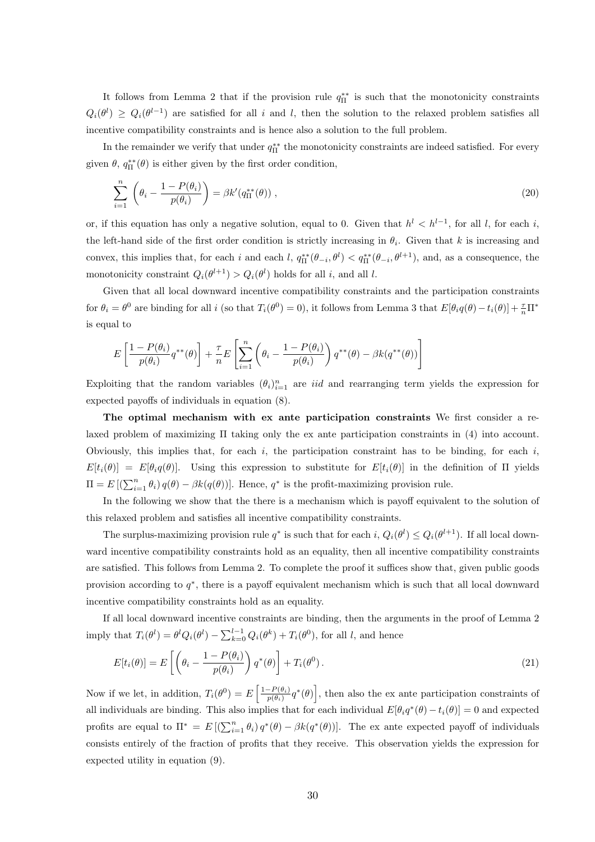It follows from Lemma 2 that if the provision rule  $q_{\Pi}^{**}$  is such that the monotonicity constraints  $Q_i(\theta^l) \geq Q_i(\theta^{l-1})$  are satisfied for all i and l, then the solution to the relaxed problem satisfies all incentive compatibility constraints and is hence also a solution to the full problem.

In the remainder we verify that under  $q_{\Pi}^{**}$  the monotonicity constraints are indeed satisfied. For every given  $\theta$ ,  $q_{\Pi}^{**}(\theta)$  is either given by the first order condition,

$$
\sum_{i=1}^{n} \left( \theta_i - \frac{1 - P(\theta_i)}{p(\theta_i)} \right) = \beta k' (q_{\Pi}^{**}(\theta)), \qquad (20)
$$

or, if this equation has only a negative solution, equal to 0. Given that  $h<sup>l</sup> < h<sup>l-1</sup>$ , for all l, for each i, the left-hand side of the first order condition is strictly increasing in  $\theta_i$ . Given that k is increasing and convex, this implies that, for each i and each l,  $q_{\Pi}^{**}(\theta_{-i}, \theta^l) < q_{\Pi}^{**}(\theta_{-i}, \theta^{l+1})$ , and, as a consequence, the monotonicity constraint  $Q_i(\theta^{l+1}) > Q_i(\theta^l)$  holds for all i, and all i.

Given that all local downward incentive compatibility constraints and the participation constraints for  $\theta_i = \theta^0$  are binding for all i (so that  $T_i(\theta^0) = 0$ ), it follows from Lemma 3 that  $E[\theta_i q(\theta) - t_i(\theta)] + \frac{\tau}{n}\Pi^*$ is equal to

$$
E\left[\frac{1-P(\theta_i)}{p(\theta_i)}q^{**}(\theta)\right]+\frac{\tau}{n}E\left[\sum_{i=1}^n\left(\theta_i-\frac{1-P(\theta_i)}{p(\theta_i)}\right)q^{**}(\theta)-\beta k(q^{**}(\theta))\right]
$$

Exploiting that the random variables  $(\theta_i)_{i=1}^n$  are *iid* and rearranging term yields the expression for expected payoffs of individuals in equation (8).

The optimal mechanism with ex ante participation constraints We first consider a relaxed problem of maximizing Π taking only the ex ante participation constraints in (4) into account. Obviously, this implies that, for each i, the participation constraint has to be binding, for each i,  $E[t_i(\theta)] = E[\theta_i q(\theta)].$  Using this expression to substitute for  $E[t_i(\theta)]$  in the definition of  $\Pi$  yields  $\Pi = E\left[\left(\sum_{i=1}^n \theta_i\right) q(\theta) - \beta k(q(\theta))\right]$ . Hence,  $q^*$  is the profit-maximizing provision rule.

In the following we show that the there is a mechanism which is payoff equivalent to the solution of this relaxed problem and satisfies all incentive compatibility constraints.

The surplus-maximizing provision rule  $q^*$  is such that for each  $i$ ,  $Q_i(\theta^l) \leq Q_i(\theta^{l+1})$ . If all local downward incentive compatibility constraints hold as an equality, then all incentive compatibility constraints are satisfied. This follows from Lemma 2. To complete the proof it suffices show that, given public goods provision according to  $q^*$ , there is a payoff equivalent mechanism which is such that all local downward incentive compatibility constraints hold as an equality.

If all local downward incentive constraints are binding, then the arguments in the proof of Lemma 2 imply that  $T_i(\theta^l) = \theta^l Q_i(\theta^l) - \sum_{k=0}^{l-1} Q_i(\theta^k) + T_i(\theta^0)$ , for all l, and hence

$$
E[t_i(\theta)] = E\left[\left(\theta_i - \frac{1 - P(\theta_i)}{p(\theta_i)}\right) q^*(\theta)\right] + T_i(\theta^0).
$$
\n(21)

Now if we let, in addition,  $T_i(\theta^0) = E\left[\frac{1-P(\theta_i)}{p(\theta_i)}\right]$  $\left[\frac{P(\theta_i)}{P(\theta_i)}q^*(\theta)\right]$ , then also the ex ante participation constraints of all individuals are binding. This also implies that for each individual  $E[\theta_i q^*(\theta) - t_i(\theta)] = 0$  and expected profits are equal to  $\Pi^* = E[(\sum_{i=1}^n \theta_i) q^*(\theta) - \beta k(q^*(\theta))].$  The ex ante expected payoff of individuals consists entirely of the fraction of profits that they receive. This observation yields the expression for expected utility in equation (9).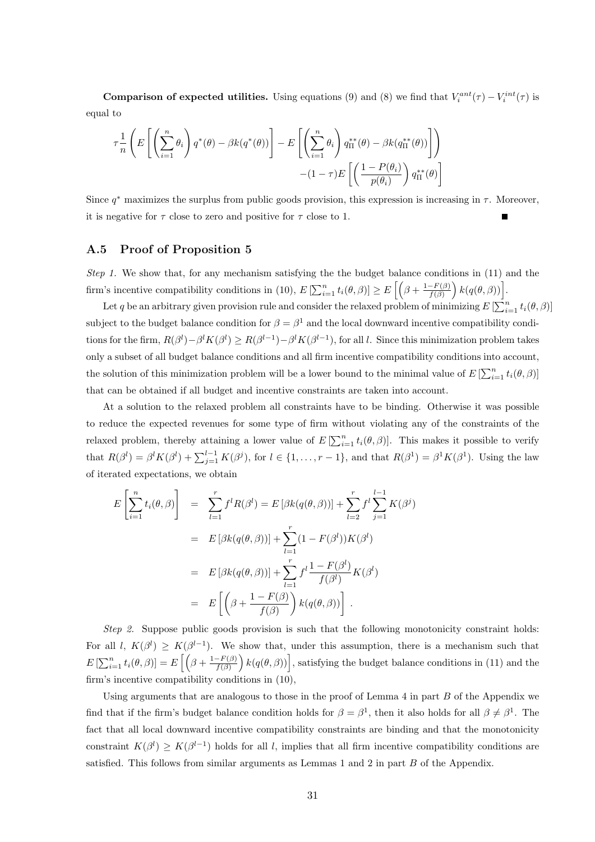**Comparison of expected utilities.** Using equations (9) and (8) we find that  $V_i^{ant}(\tau) - V_i^{int}(\tau)$  is equal to

$$
\tau \frac{1}{n} \left( E \left[ \left( \sum_{i=1}^{n} \theta_{i} \right) q^{*}(\theta) - \beta k(q^{*}(\theta)) \right] - E \left[ \left( \sum_{i=1}^{n} \theta_{i} \right) q_{\Pi}^{**}(\theta) - \beta k(q_{\Pi}^{**}(\theta)) \right] \right) - (1 - \tau) E \left[ \left( \frac{1 - P(\theta_{i})}{p(\theta_{i})} \right) q_{\Pi}^{**}(\theta) \right]
$$

Since  $q^*$  maximizes the surplus from public goods provision, this expression is increasing in  $\tau$ . Moreover, it is negative for  $\tau$  close to zero and positive for  $\tau$  close to 1.

#### A.5 Proof of Proposition 5

Step 1. We show that, for any mechanism satisfying the the budget balance conditions in (11) and the firm's incentive compatibility conditions in (10),  $E\left[\sum_{i=1}^n t_i(\theta, \beta)\right] \ge E\left[\left(\beta + \frac{1-F(\beta)}{f(\beta)}\right)\right]$  $\frac{-F(\beta)}{f(\beta)}\Big) k(q(\theta, \beta))\Big].$ 

Let q be an arbitrary given provision rule and consider the relaxed problem of minimizing  $E\left[\sum_{i=1}^n t_i(\theta, \beta)\right]$ subject to the budget balance condition for  $\beta = \beta^1$  and the local downward incentive compatibility conditions for the firm,  $R(\beta^l) - \beta^l K(\beta^l) \geq R(\beta^{l-1}) - \beta^l K(\beta^{l-1})$ , for all l. Since this minimization problem takes only a subset of all budget balance conditions and all firm incentive compatibility conditions into account, the solution of this minimization problem will be a lower bound to the minimal value of  $E\left[\sum_{i=1}^{n} t_i(\theta, \beta)\right]$ that can be obtained if all budget and incentive constraints are taken into account.

At a solution to the relaxed problem all constraints have to be binding. Otherwise it was possible to reduce the expected revenues for some type of firm without violating any of the constraints of the relaxed problem, thereby attaining a lower value of  $E\left[\sum_{i=1}^{n} t_i(\theta, \beta)\right]$ . This makes it possible to verify that  $R(\beta^l) = \beta^l K(\beta^l) + \sum_{j=1}^{l-1} K(\beta^j)$ , for  $l \in \{1, \ldots, r-1\}$ , and that  $R(\beta^1) = \beta^1 K(\beta^1)$ . Using the law of iterated expectations, we obtain

$$
E\left[\sum_{i=1}^{n} t_i(\theta, \beta)\right] = \sum_{l=1}^{r} f^l R(\beta^l) = E\left[\beta k(q(\theta, \beta))\right] + \sum_{l=2}^{r} f^l \sum_{j=1}^{l-1} K(\beta^j)
$$
  

$$
= E\left[\beta k(q(\theta, \beta))\right] + \sum_{l=1}^{r} (1 - F(\beta^l))K(\beta^l)
$$
  

$$
= E\left[\beta k(q(\theta, \beta))\right] + \sum_{l=1}^{r} f^l \frac{1 - F(\beta^l)}{f(\beta^l)}K(\beta^l)
$$
  

$$
= E\left[\left(\beta + \frac{1 - F(\beta)}{f(\beta)}\right)k(q(\theta, \beta))\right].
$$

Step 2. Suppose public goods provision is such that the following monotonicity constraint holds: For all l,  $K(\beta^l) \geq K(\beta^{l-1})$ . We show that, under this assumption, there is a mechanism such that  $E\left[\sum_{i=1}^n t_i(\theta,\beta)\right] = E\left[\left(\beta + \frac{1-F(\beta)}{f(\beta)}\right)\right]$  $\left(\frac{F(\beta)}{f(\beta)}\right) k(q(\theta, \beta))\Big]$ , satisfying the budget balance conditions in (11) and the firm's incentive compatibility conditions in (10),

Using arguments that are analogous to those in the proof of Lemma  $4$  in part  $B$  of the Appendix we find that if the firm's budget balance condition holds for  $\beta = \beta^1$ , then it also holds for all  $\beta \neq \beta^1$ . The fact that all local downward incentive compatibility constraints are binding and that the monotonicity constraint  $K(\beta^l) \geq K(\beta^{l-1})$  holds for all l, implies that all firm incentive compatibility conditions are satisfied. This follows from similar arguments as Lemmas 1 and 2 in part B of the Appendix.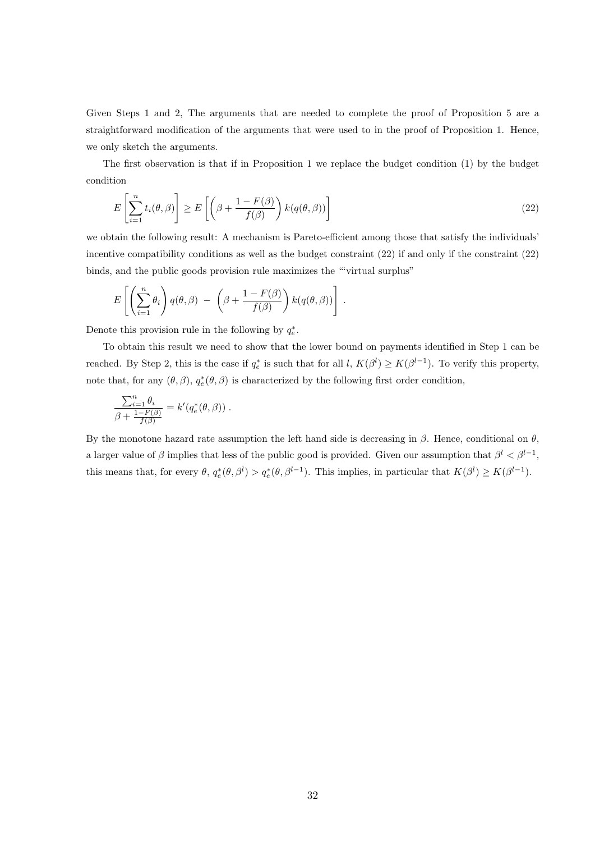Given Steps 1 and 2, The arguments that are needed to complete the proof of Proposition 5 are a straightforward modification of the arguments that were used to in the proof of Proposition 1. Hence, we only sketch the arguments.

The first observation is that if in Proposition 1 we replace the budget condition (1) by the budget condition

$$
E\left[\sum_{i=1}^{n} t_i(\theta, \beta)\right] \ge E\left[\left(\beta + \frac{1 - F(\beta)}{f(\beta)}\right) k(q(\theta, \beta))\right]
$$
\n(22)

we obtain the following result: A mechanism is Pareto-efficient among those that satisfy the individuals' incentive compatibility conditions as well as the budget constraint (22) if and only if the constraint (22) binds, and the public goods provision rule maximizes the "'virtual surplus"

$$
E\left[\left(\sum_{i=1}^n \theta_i\right) q(\theta, \beta) - \left(\beta + \frac{1 - F(\beta)}{f(\beta)}\right) k(q(\theta, \beta))\right].
$$

Denote this provision rule in the following by  $q_e^*$ .

To obtain this result we need to show that the lower bound on payments identified in Step 1 can be reached. By Step 2, this is the case if  $q_e^*$  is such that for all  $l, K(\beta^l) \geq K(\beta^{l-1})$ . To verify this property, note that, for any  $(\theta, \beta)$ ,  $q_e^*(\theta, \beta)$  is characterized by the following first order condition,

$$
\frac{\sum_{i=1}^n \theta_i}{\beta + \frac{1 - F(\beta)}{f(\beta)}} = k'(q_e^*(\theta, \beta)).
$$

By the monotone hazard rate assumption the left hand side is decreasing in  $\beta$ . Hence, conditional on  $\theta$ , a larger value of  $\beta$  implies that less of the public good is provided. Given our assumption that  $\beta^l < \beta^{l-1}$ , this means that, for every  $\theta$ ,  $q_e^*(\theta, \beta^l) > q_e^*(\theta, \beta^{l-1})$ . This implies, in particular that  $K(\beta^l) \geq K(\beta^{l-1})$ .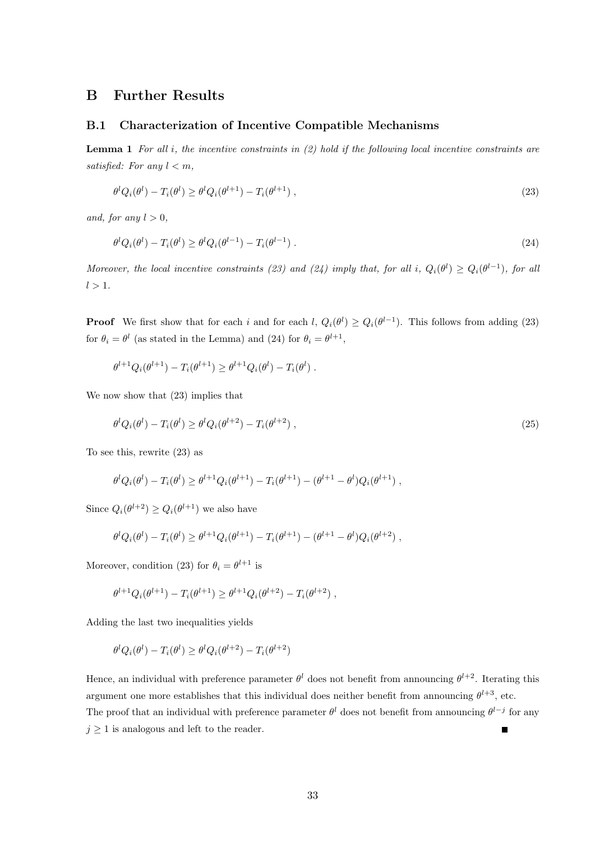### B Further Results

#### B.1 Characterization of Incentive Compatible Mechanisms

**Lemma 1** For all i, the incentive constraints in  $(2)$  hold if the following local incentive constraints are satisfied: For any  $l < m$ ,

$$
\theta^l Q_i(\theta^l) - T_i(\theta^l) \ge \theta^l Q_i(\theta^{l+1}) - T_i(\theta^{l+1}), \qquad (23)
$$

and, for any  $l > 0$ ,

$$
\theta^l Q_i(\theta^l) - T_i(\theta^l) \ge \theta^l Q_i(\theta^{l-1}) - T_i(\theta^{l-1}). \tag{24}
$$

Moreover, the local incentive constraints (23) and (24) imply that, for all i,  $Q_i(\theta^l) \geq Q_i(\theta^{l-1})$ , for all  $l > 1$ .

**Proof** We first show that for each i and for each  $l, Q_i(\theta^l) \geq Q_i(\theta^{l-1})$ . This follows from adding (23) for  $\theta_i = \theta^l$  (as stated in the Lemma) and (24) for  $\theta_i = \theta^{l+1}$ ,

$$
\theta^{l+1} Q_i(\theta^{l+1}) - T_i(\theta^{l+1}) \ge \theta^{l+1} Q_i(\theta^l) - T_i(\theta^l) .
$$

We now show that (23) implies that

$$
\theta^l Q_i(\theta^l) - T_i(\theta^l) \ge \theta^l Q_i(\theta^{l+2}) - T_i(\theta^{l+2}), \qquad (25)
$$

To see this, rewrite (23) as

$$
\theta^l Q_i(\theta^l) - T_i(\theta^l) \ge \theta^{l+1} Q_i(\theta^{l+1}) - T_i(\theta^{l+1}) - (\theta^{l+1} - \theta^l) Q_i(\theta^{l+1}),
$$

Since  $Q_i(\theta^{l+2}) \geq Q_i(\theta^{l+1})$  we also have

$$
\theta^l Q_i(\theta^l) - T_i(\theta^l) \ge \theta^{l+1} Q_i(\theta^{l+1}) - T_i(\theta^{l+1}) - (\theta^{l+1} - \theta^l) Q_i(\theta^{l+2}),
$$

Moreover, condition (23) for  $\theta_i = \theta^{l+1}$  is

$$
\theta^{l+1} Q_i(\theta^{l+1}) - T_i(\theta^{l+1}) \geq \theta^{l+1} Q_i(\theta^{l+2}) - T_i(\theta^{l+2}),
$$

Adding the last two inequalities yields

$$
\theta^l Q_i(\theta^l) - T_i(\theta^l) \ge \theta^l Q_i(\theta^{l+2}) - T_i(\theta^{l+2})
$$

Hence, an individual with preference parameter  $\theta^l$  does not benefit from announcing  $\theta^{l+2}$ . Iterating this argument one more establishes that this individual does neither benefit from announcing  $\theta^{l+3}$ , etc. The proof that an individual with preference parameter  $\theta^l$  does not benefit from announcing  $\theta^{l-j}$  for any  $j \geq 1$  is analogous and left to the reader.  $\blacksquare$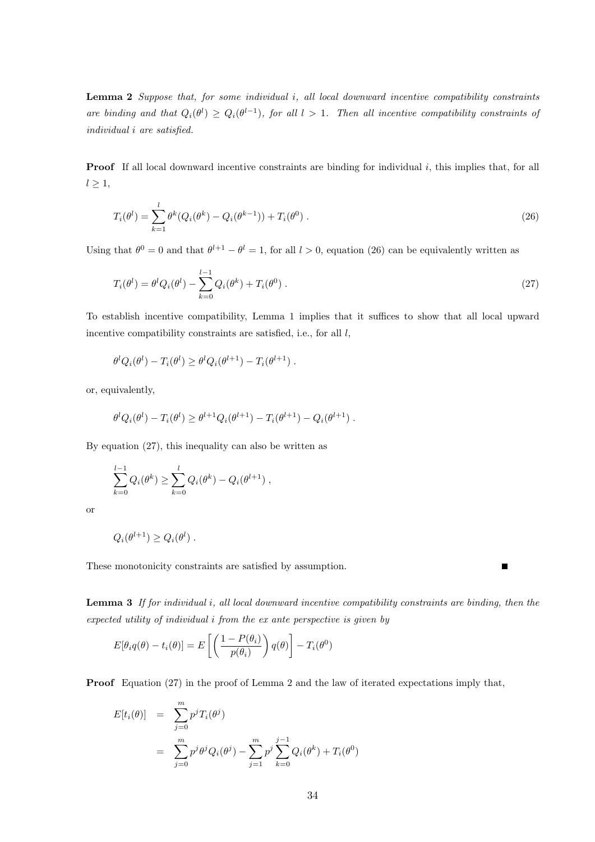**Lemma 2** Suppose that, for some individual  $i$ , all local downward incentive compatibility constraints are binding and that  $Q_i(\theta^l) \geq Q_i(\theta^{l-1})$ , for all  $l > 1$ . Then all incentive compatibility constraints of individual i are satisfied.

**Proof** If all local downward incentive constraints are binding for individual  $i$ , this implies that, for all  $l \geq 1$ ,

$$
T_i(\theta^l) = \sum_{k=1}^l \theta^k (Q_i(\theta^k) - Q_i(\theta^{k-1})) + T_i(\theta^0).
$$
 (26)

Using that  $\theta^0 = 0$  and that  $\theta^{l+1} - \theta^l = 1$ , for all  $l > 0$ , equation (26) can be equivalently written as

$$
T_i(\theta^l) = \theta^l Q_i(\theta^l) - \sum_{k=0}^{l-1} Q_i(\theta^k) + T_i(\theta^0) \tag{27}
$$

To establish incentive compatibility, Lemma 1 implies that it suffices to show that all local upward incentive compatibility constraints are satisfied, i.e., for all  $l$ ,

$$
\theta^l Q_i(\theta^l) - T_i(\theta^l) \geq \theta^l Q_i(\theta^{l+1}) - T_i(\theta^{l+1}).
$$

or, equivalently,

$$
\theta^l Q_i(\theta^l) - T_i(\theta^l) \ge \theta^{l+1} Q_i(\theta^{l+1}) - T_i(\theta^{l+1}) - Q_i(\theta^{l+1}) .
$$

By equation (27), this inequality can also be written as

$$
\sum_{k=0}^{l-1} Q_i(\theta^k) \ge \sum_{k=0}^{l} Q_i(\theta^k) - Q_i(\theta^{l+1}),
$$

or

$$
Q_i(\theta^{l+1}) \ge Q_i(\theta^l) .
$$

These monotonicity constraints are satisfied by assumption.

**Lemma 3** If for individual i, all local downward incentive compatibility constraints are binding, then the expected utility of individual i from the ex ante perspective is given by

$$
E[\theta_i q(\theta) - t_i(\theta)] = E\left[\left(\frac{1 - P(\theta_i)}{p(\theta_i)}\right)q(\theta)\right] - T_i(\theta^0)
$$

Proof Equation (27) in the proof of Lemma 2 and the law of iterated expectations imply that,

$$
E[t_i(\theta)] = \sum_{j=0}^{m} p^j T_i(\theta^j)
$$
  
= 
$$
\sum_{j=0}^{m} p^j \theta^j Q_i(\theta^j) - \sum_{j=1}^{m} p^j \sum_{k=0}^{j-1} Q_i(\theta^k) + T_i(\theta^0)
$$

Г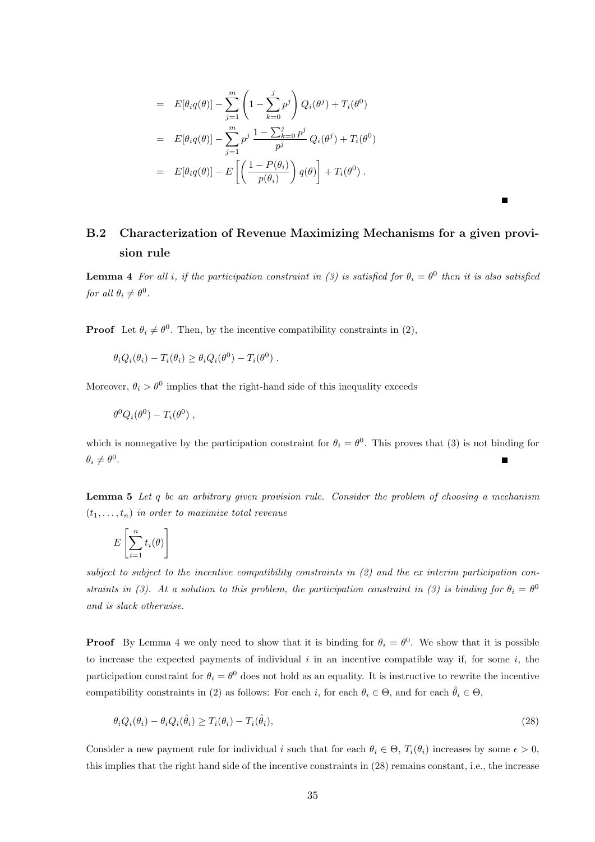$$
= E[\theta_i q(\theta)] - \sum_{j=1}^m \left(1 - \sum_{k=0}^j p^j\right) Q_i(\theta^j) + T_i(\theta^0)
$$
  
\n
$$
= E[\theta_i q(\theta)] - \sum_{j=1}^m p^j \frac{1 - \sum_{k=0}^j p^j}{p^j} Q_i(\theta^j) + T_i(\theta^0)
$$
  
\n
$$
= E[\theta_i q(\theta)] - E\left[\left(\frac{1 - P(\theta_i)}{p(\theta_i)}\right) q(\theta)\right] + T_i(\theta^0).
$$

### B.2 Characterization of Revenue Maximizing Mechanisms for a given provision rule

 $\blacksquare$ 

**Lemma 4** For all i, if the participation constraint in (3) is satisfied for  $\theta_i = \theta^0$  then it is also satisfied for all  $\theta_i \neq \theta^0$ .

**Proof** Let  $\theta_i \neq \theta^0$ . Then, by the incentive compatibility constraints in (2),

 $\theta_i Q_i(\theta_i) - T_i(\theta_i) \geq \theta_i Q_i(\theta^0) - T_i(\theta^0)$ .

Moreover,  $\theta_i > \theta^0$  implies that the right-hand side of this inequality exceeds

 $\theta^0 Q_i(\theta^0) - T_i(\theta^0)$ ,

which is nonnegative by the participation constraint for  $\theta_i = \theta^0$ . This proves that (3) is not binding for  $\theta_i \neq \theta^0$ .

**Lemma 5** Let q be an arbitrary given provision rule. Consider the problem of choosing a mechanism  $(t_1, \ldots, t_n)$  in order to maximize total revenue

$$
E\left[\sum_{i=1}^{n} t_i(\theta)\right]
$$

subject to subject to the incentive compatibility constraints in (2) and the ex interim participation constraints in (3). At a solution to this problem, the participation constraint in (3) is binding for  $\theta_i = \theta^0$ and is slack otherwise.

**Proof** By Lemma 4 we only need to show that it is binding for  $\theta_i = \theta^0$ . We show that it is possible to increase the expected payments of individual  $i$  in an incentive compatible way if, for some  $i$ , the participation constraint for  $\theta_i = \theta^0$  does not hold as an equality. It is instructive to rewrite the incentive compatibility constraints in (2) as follows: For each i, for each  $\theta_i \in \Theta$ , and for each  $\hat{\theta}_i \in \Theta$ ,

$$
\theta_i Q_i(\theta_i) - \theta_i Q_i(\hat{\theta}_i) \ge T_i(\theta_i) - T_i(\hat{\theta}_i),\tag{28}
$$

Consider a new payment rule for individual i such that for each  $\theta_i \in \Theta$ ,  $T_i(\theta_i)$  increases by some  $\epsilon > 0$ , this implies that the right hand side of the incentive constraints in (28) remains constant, i.e., the increase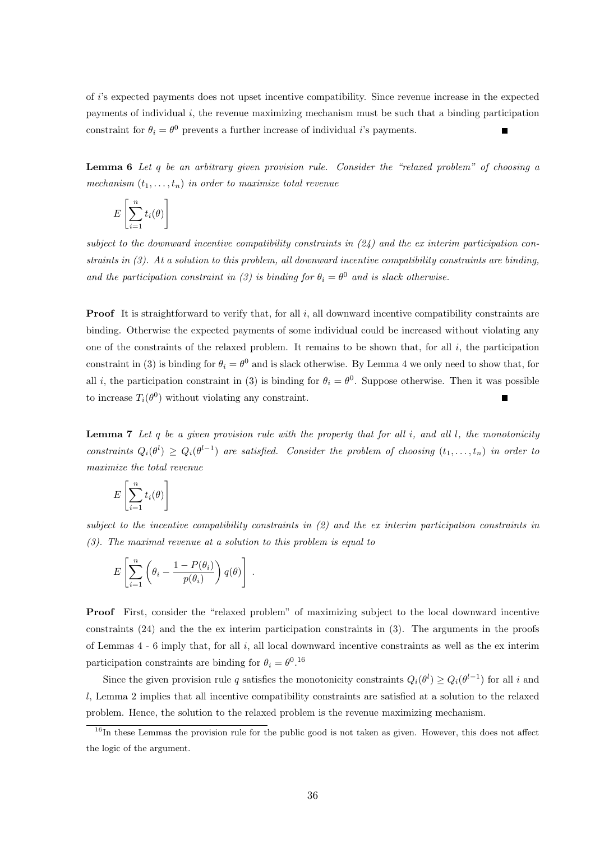of i's expected payments does not upset incentive compatibility. Since revenue increase in the expected payments of individual  $i$ , the revenue maximizing mechanism must be such that a binding participation constraint for  $\theta_i = \theta^0$  prevents a further increase of individual *i*'s payments.

**Lemma 6** Let q be an arbitrary given provision rule. Consider the "relaxed problem" of choosing a mechanism  $(t_1, \ldots, t_n)$  in order to maximize total revenue

$$
E\left[\sum_{i=1}^n t_i(\theta)\right]
$$

subject to the downward incentive compatibility constraints in  $(24)$  and the ex interim participation constraints in (3). At a solution to this problem, all downward incentive compatibility constraints are binding, and the participation constraint in (3) is binding for  $\theta_i = \theta^0$  and is slack otherwise.

**Proof** It is straightforward to verify that, for all  $i$ , all downward incentive compatibility constraints are binding. Otherwise the expected payments of some individual could be increased without violating any one of the constraints of the relaxed problem. It remains to be shown that, for all  $i$ , the participation constraint in (3) is binding for  $\theta_i = \theta^0$  and is slack otherwise. By Lemma 4 we only need to show that, for all *i*, the participation constraint in (3) is binding for  $\theta_i = \theta^0$ . Suppose otherwise. Then it was possible to increase  $T_i(\theta^0)$  without violating any constraint.

**Lemma 7** Let q be a given provision rule with the property that for all i, and all l, the monotonicity constraints  $Q_i(\theta^l) \geq Q_i(\theta^{l-1})$  are satisfied. Consider the problem of choosing  $(t_1,\ldots,t_n)$  in order to maximize the total revenue

$$
E\left[\sum_{i=1}^n t_i(\theta)\right]
$$

subject to the incentive compatibility constraints in (2) and the ex interim participation constraints in (3). The maximal revenue at a solution to this problem is equal to

.

$$
E\left[\sum_{i=1}^{n}\left(\theta_{i}-\frac{1-P(\theta_{i})}{p(\theta_{i})}\right)q(\theta)\right]
$$

Proof First, consider the "relaxed problem" of maximizing subject to the local downward incentive constraints (24) and the the ex interim participation constraints in (3). The arguments in the proofs of Lemmas  $4 - 6$  imply that, for all i, all local downward incentive constraints as well as the ex interim participation constraints are binding for  $\theta_i = \theta^{0.16}$ 

Since the given provision rule q satisfies the monotonicity constraints  $Q_i(\theta^l) \geq Q_i(\theta^{l-1})$  for all i and l, Lemma 2 implies that all incentive compatibility constraints are satisfied at a solution to the relaxed problem. Hence, the solution to the relaxed problem is the revenue maximizing mechanism.

<sup>&</sup>lt;sup>16</sup>In these Lemmas the provision rule for the public good is not taken as given. However, this does not affect the logic of the argument.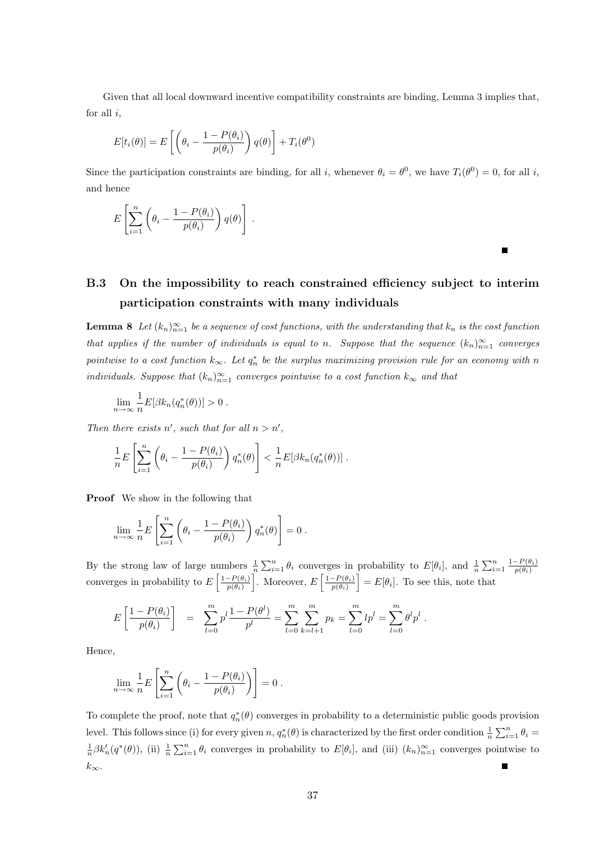Given that all local downward incentive compatibility constraints are binding, Lemma 3 implies that, for all  $i$ ,

$$
E[t_i(\theta)] = E\left[\left(\theta_i - \frac{1 - P(\theta_i)}{p(\theta_i)}\right)q(\theta)\right] + T_i(\theta^0)
$$

Since the participation constraints are binding, for all i, whenever  $\theta_i = \theta^0$ , we have  $T_i(\theta^0) = 0$ , for all i, and hence

$$
E\left[\sum_{i=1}^n\left(\theta_i-\frac{1-P(\theta_i)}{p(\theta_i)}\right)q(\theta)\right].
$$

### B.3 On the impossibility to reach constrained efficiency subject to interim participation constraints with many individuals

 $\blacksquare$ 

**Lemma 8** Let  $(k_n)_{n=1}^{\infty}$  be a sequence of cost functions, with the understanding that  $k_n$  is the cost function that applies if the number of individuals is equal to n. Suppose that the sequence  $(k_n)_{n=1}^{\infty}$  converges pointwise to a cost function  $k_{\infty}$ . Let  $q_n^*$  be the surplus maximizing provision rule for an economy with n individuals. Suppose that  $(k_n)_{n=1}^{\infty}$  converges pointwise to a cost function  $k_{\infty}$  and that

$$
\lim_{n \to \infty} \frac{1}{n} E[\beta k_n(q_n^*(\theta))] > 0.
$$

Then there exists n', such that for all  $n > n'$ ,

$$
\frac{1}{n}E\left[\sum_{i=1}^n\left(\theta_i-\frac{1-P(\theta_i)}{p(\theta_i)}\right)q_n^*(\theta)\right] < \frac{1}{n}E[\beta k_n(q_n^*(\theta))].
$$

Proof We show in the following that

$$
\lim_{n \to \infty} \frac{1}{n} E\left[\sum_{i=1}^n \left(\theta_i - \frac{1 - P(\theta_i)}{p(\theta_i)}\right) q_n^*(\theta)\right] = 0.
$$

By the strong law of large numbers  $\frac{1}{n} \sum_{i=1}^n \theta_i$  converges in probability to  $E[\theta_i]$ , and  $\frac{1}{n} \sum_{i=1}^n \frac{1-P(\theta_i)}{p(\theta_i)}$  $p(\theta_i)$ converges in probability to  $E\left[\frac{1-P(\theta_i)}{P(\theta_i)}\right]$  $\left[\frac{P(\theta_i)}{p(\theta_i)}\right]$ . Moreover,  $E\left[\frac{1-P(\theta_i)}{p(\theta_i)}\right]$  $\left[\frac{P(\theta_i)}{p(\theta_i)}\right] = E[\theta_i].$  To see this, note that

$$
E\left[\frac{1-P(\theta_i)}{p(\theta_i)}\right] = \sum_{l=0}^m p^l \frac{1-P(\theta^l)}{p^l} = \sum_{l=0}^m \sum_{k=l+1}^m p_k = \sum_{l=0}^m lp^l = \sum_{l=0}^m \theta^l p^l.
$$

Hence,

$$
\lim_{n \to \infty} \frac{1}{n} E\left[\sum_{i=1}^n \left(\theta_i - \frac{1 - P(\theta_i)}{p(\theta_i)}\right)\right] = 0.
$$

To complete the proof, note that  $q_n^*(\theta)$  converges in probability to a deterministic public goods provision level. This follows since (i) for every given n,  $q_n^*(\theta)$  is characterized by the first order condition  $\frac{1}{n} \sum_{i=1}^n \theta_i =$  $\frac{1}{n}\beta k_n'(q^*(\theta))$ , (ii)  $\frac{1}{n}\sum_{i=1}^n\theta_i$  converges in probability to  $E[\theta_i]$ , and (iii)  $(k_n)_{n=1}^{\infty}$  converges pointwise to  $k_{\infty}$ .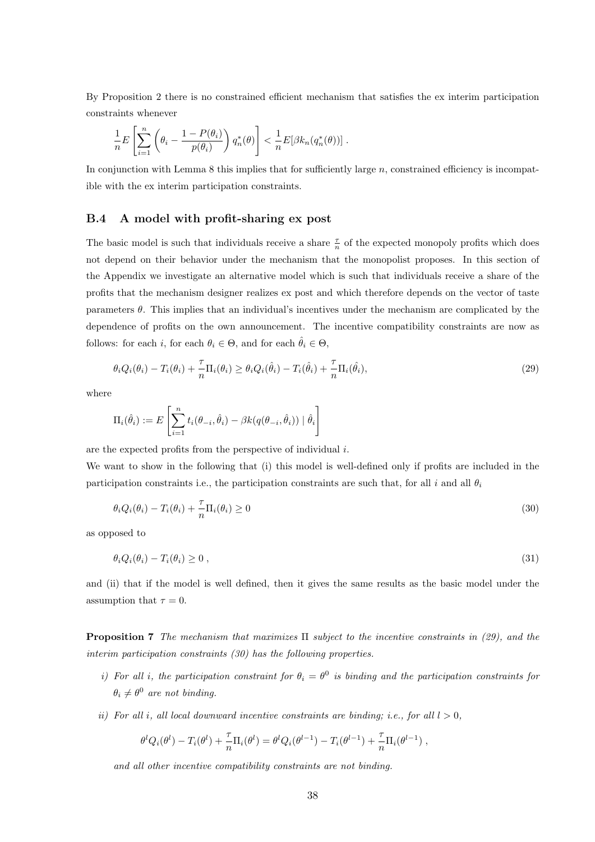By Proposition 2 there is no constrained efficient mechanism that satisfies the ex interim participation constraints whenever

$$
\frac{1}{n}E\left[\sum_{i=1}^n\left(\theta_i-\frac{1-P(\theta_i)}{p(\theta_i)}\right)q_n^*(\theta)\right] < \frac{1}{n}E[\beta k_n(q_n^*(\theta))].
$$

In conjunction with Lemma 8 this implies that for sufficiently large  $n$ , constrained efficiency is incompatible with the ex interim participation constraints.

#### B.4 A model with profit-sharing ex post

The basic model is such that individuals receive a share  $\frac{\tau}{n}$  of the expected monopoly profits which does not depend on their behavior under the mechanism that the monopolist proposes. In this section of the Appendix we investigate an alternative model which is such that individuals receive a share of the profits that the mechanism designer realizes ex post and which therefore depends on the vector of taste parameters  $\theta$ . This implies that an individual's incentives under the mechanism are complicated by the dependence of profits on the own announcement. The incentive compatibility constraints are now as follows: for each i, for each  $\theta_i \in \Theta$ , and for each  $\hat{\theta}_i \in \Theta$ ,

$$
\theta_i Q_i(\theta_i) - T_i(\theta_i) + \frac{\tau}{n} \Pi_i(\theta_i) \ge \theta_i Q_i(\hat{\theta}_i) - T_i(\hat{\theta}_i) + \frac{\tau}{n} \Pi_i(\hat{\theta}_i),\tag{29}
$$

where

$$
\Pi_i(\hat{\theta}_i) := E\left[\sum_{i=1}^n t_i(\theta_{-i}, \hat{\theta}_i) - \beta k(q(\theta_{-i}, \hat{\theta}_i)) | \hat{\theta}_i\right]
$$

are the expected profits from the perspective of individual i.

We want to show in the following that (i) this model is well-defined only if profits are included in the participation constraints i.e., the participation constraints are such that, for all i and all  $\theta_i$ 

$$
\theta_i Q_i(\theta_i) - T_i(\theta_i) + \frac{\tau}{n} \Pi_i(\theta_i) \ge 0
$$
\n(30)

as opposed to

$$
\theta_i Q_i(\theta_i) - T_i(\theta_i) \ge 0 \tag{31}
$$

and (ii) that if the model is well defined, then it gives the same results as the basic model under the assumption that  $\tau = 0$ .

**Proposition 7** The mechanism that maximizes  $\Pi$  subject to the incentive constraints in (29), and the interim participation constraints (30) has the following properties.

- i) For all i, the participation constraint for  $\theta_i = \theta^0$  is binding and the participation constraints for  $\theta_i \neq \theta^0$  are not binding.
- ii) For all i, all local downward incentive constraints are binding; i.e., for all  $l > 0$ ,

$$
\theta^{l} Q_{i}(\theta^{l}) - T_{i}(\theta^{l}) + \frac{\tau}{n} \Pi_{i}(\theta^{l}) = \theta^{l} Q_{i}(\theta^{l-1}) - T_{i}(\theta^{l-1}) + \frac{\tau}{n} \Pi_{i}(\theta^{l-1}),
$$

and all other incentive compatibility constraints are not binding.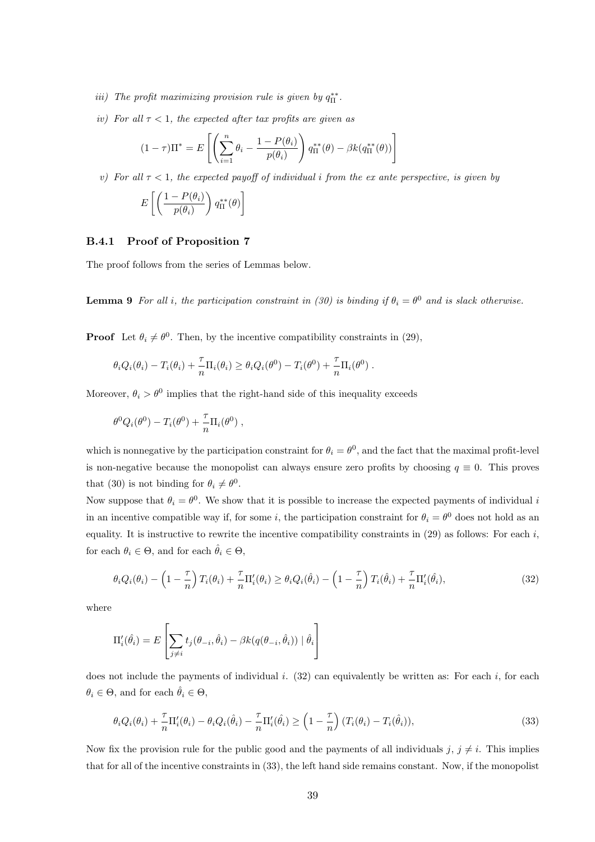- iii) The profit maximizing provision rule is given by  $q_{\Pi}^{**}$ .
- iv) For all  $\tau < 1$ , the expected after tax profits are given as

$$
(1 - \tau)\Pi^* = E\left[\left(\sum_{i=1}^n \theta_i - \frac{1 - P(\theta_i)}{p(\theta_i)}\right) q_{\Pi}^{**}(\theta) - \beta k(q_{\Pi}^{**}(\theta))\right]
$$

v) For all  $\tau$  < 1, the expected payoff of individual i from the ex ante perspective, is given by

$$
E\left[\left(\frac{1-P(\theta_i)}{p(\theta_i)}\right)q_{\Pi}^{**}(\theta)\right]
$$

### B.4.1 Proof of Proposition 7

The proof follows from the series of Lemmas below.

**Lemma 9** For all i, the participation constraint in (30) is binding if  $\theta_i = \theta^0$  and is slack otherwise.

**Proof** Let  $\theta_i \neq \theta^0$ . Then, by the incentive compatibility constraints in (29),

$$
\theta_i Q_i(\theta_i) - T_i(\theta_i) + \frac{\tau}{n} \Pi_i(\theta_i) \ge \theta_i Q_i(\theta^0) - T_i(\theta^0) + \frac{\tau}{n} \Pi_i(\theta^0) .
$$

Moreover,  $\theta_i > \theta^0$  implies that the right-hand side of this inequality exceeds

$$
\theta^0 Q_i(\theta^0) - T_i(\theta^0) + \frac{\tau}{n} \Pi_i(\theta^0) ,
$$

which is nonnegative by the participation constraint for  $\theta_i = \theta^0$ , and the fact that the maximal profit-level is non-negative because the monopolist can always ensure zero profits by choosing  $q \equiv 0$ . This proves that (30) is not binding for  $\theta_i \neq \theta^0$ .

Now suppose that  $\theta_i = \theta^0$ . We show that it is possible to increase the expected payments of individual i in an incentive compatible way if, for some i, the participation constraint for  $\theta_i = \theta^0$  does not hold as an equality. It is instructive to rewrite the incentive compatibility constraints in  $(29)$  as follows: For each i, for each  $\theta_i \in \Theta$ , and for each  $\hat{\theta}_i \in \Theta$ ,

$$
\theta_i Q_i(\theta_i) - \left(1 - \frac{\tau}{n}\right) T_i(\theta_i) + \frac{\tau}{n} \Pi'_i(\theta_i) \ge \theta_i Q_i(\hat{\theta}_i) - \left(1 - \frac{\tau}{n}\right) T_i(\hat{\theta}_i) + \frac{\tau}{n} \Pi'_i(\hat{\theta}_i),\tag{32}
$$

where

$$
\Pi_i'(\hat{\theta}_i) = E\left[\sum_{j \neq i} t_j(\theta_{-i}, \hat{\theta}_i) - \beta k(q(\theta_{-i}, \hat{\theta}_i)) | \hat{\theta}_i\right]
$$

does not include the payments of individual i.  $(32)$  can equivalently be written as: For each i, for each  $\theta_i \in \Theta$ , and for each  $\hat{\theta}_i \in \Theta$ ,

$$
\theta_i Q_i(\theta_i) + \frac{\tau}{n} \Pi'_i(\theta_i) - \theta_i Q_i(\hat{\theta}_i) - \frac{\tau}{n} \Pi'_i(\hat{\theta}_i) \ge \left(1 - \frac{\tau}{n}\right) (T_i(\theta_i) - T_i(\hat{\theta}_i)),\tag{33}
$$

Now fix the provision rule for the public good and the payments of all individuals  $j, j \neq i$ . This implies that for all of the incentive constraints in (33), the left hand side remains constant. Now, if the monopolist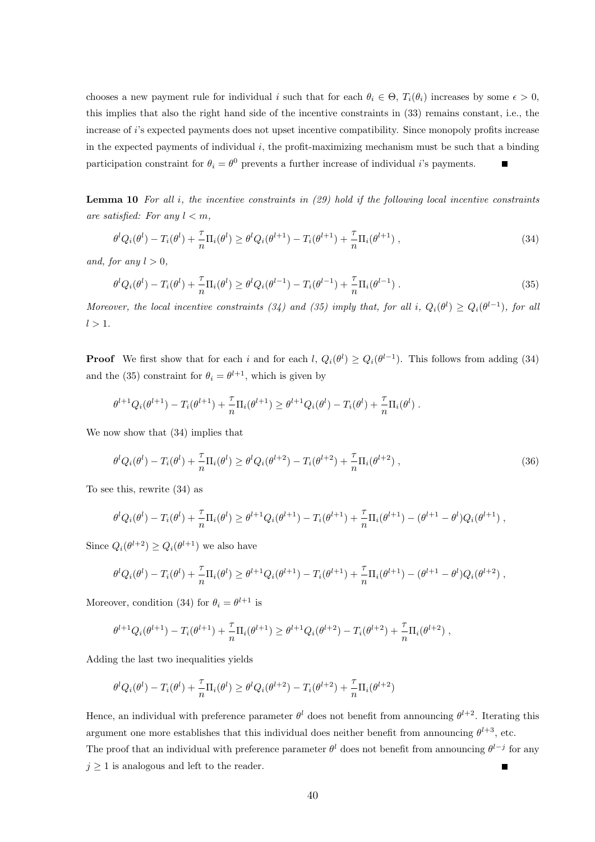chooses a new payment rule for individual i such that for each  $\theta_i \in \Theta$ ,  $T_i(\theta_i)$  increases by some  $\epsilon > 0$ , this implies that also the right hand side of the incentive constraints in (33) remains constant, i.e., the increase of i's expected payments does not upset incentive compatibility. Since monopoly profits increase in the expected payments of individual  $i$ , the profit-maximizing mechanism must be such that a binding participation constraint for  $\theta_i = \theta^0$  prevents a further increase of individual *i*'s payments.

**Lemma 10** For all i, the incentive constraints in  $(29)$  hold if the following local incentive constraints are satisfied: For any  $l < m$ ,

$$
\theta^{l} Q_{i}(\theta^{l}) - T_{i}(\theta^{l}) + \frac{\tau}{n} \Pi_{i}(\theta^{l}) \geq \theta^{l} Q_{i}(\theta^{l+1}) - T_{i}(\theta^{l+1}) + \frac{\tau}{n} \Pi_{i}(\theta^{l+1}),
$$
\n(34)

and, for any  $l > 0$ ,

$$
\theta^{l} Q_{i}(\theta^{l}) - T_{i}(\theta^{l}) + \frac{\tau}{n} \Pi_{i}(\theta^{l}) \geq \theta^{l} Q_{i}(\theta^{l-1}) - T_{i}(\theta^{l-1}) + \frac{\tau}{n} \Pi_{i}(\theta^{l-1}).
$$
\n(35)

Moreover, the local incentive constraints (34) and (35) imply that, for all i,  $Q_i(\theta^l) \geq Q_i(\theta^{l-1})$ , for all  $l > 1$ .

**Proof** We first show that for each i and for each  $l, Q_i(\theta^l) \geq Q_i(\theta^{l-1})$ . This follows from adding (34) and the (35) constraint for  $\theta_i = \theta^{l+1}$ , which is given by

$$
\theta^{l+1} Q_i(\theta^{l+1}) - T_i(\theta^{l+1}) + \frac{\tau}{n} \Pi_i(\theta^{l+1}) \geq \theta^{l+1} Q_i(\theta^l) - T_i(\theta^l) + \frac{\tau}{n} \Pi_i(\theta^l) .
$$

We now show that (34) implies that

$$
\theta^{l} Q_{i}(\theta^{l}) - T_{i}(\theta^{l}) + \frac{\tau}{n} \Pi_{i}(\theta^{l}) \geq \theta^{l} Q_{i}(\theta^{l+2}) - T_{i}(\theta^{l+2}) + \frac{\tau}{n} \Pi_{i}(\theta^{l+2}),
$$
\n(36)

To see this, rewrite (34) as

$$
\theta^l Q_i(\theta^l) - T_i(\theta^l) + \frac{\tau}{n} \Pi_i(\theta^l) \geq \theta^{l+1} Q_i(\theta^{l+1}) - T_i(\theta^{l+1}) + \frac{\tau}{n} \Pi_i(\theta^{l+1}) - (\theta^{l+1} - \theta^l) Q_i(\theta^{l+1}),
$$

Since  $Q_i(\theta^{l+2}) \geq Q_i(\theta^{l+1})$  we also have

$$
\theta^l Q_i(\theta^l) - T_i(\theta^l) + \frac{\tau}{n} \Pi_i(\theta^l) \geq \theta^{l+1} Q_i(\theta^{l+1}) - T_i(\theta^{l+1}) + \frac{\tau}{n} \Pi_i(\theta^{l+1}) - (\theta^{l+1} - \theta^l) Q_i(\theta^{l+2}),
$$

Moreover, condition (34) for  $\theta_i = \theta^{l+1}$  is

$$
\theta^{l+1}Q_i(\theta^{l+1}) - T_i(\theta^{l+1}) + \frac{\tau}{n}\Pi_i(\theta^{l+1}) \geq \theta^{l+1}Q_i(\theta^{l+2}) - T_i(\theta^{l+2}) + \frac{\tau}{n}\Pi_i(\theta^{l+2}),
$$

Adding the last two inequalities yields

$$
\theta^l Q_i(\theta^l) - T_i(\theta^l) + \frac{\tau}{n} \Pi_i(\theta^l) \ge \theta^l Q_i(\theta^{l+2}) - T_i(\theta^{l+2}) + \frac{\tau}{n} \Pi_i(\theta^{l+2})
$$

Hence, an individual with preference parameter  $\theta^l$  does not benefit from announcing  $\theta^{l+2}$ . Iterating this argument one more establishes that this individual does neither benefit from announcing  $\theta^{l+3}$ , etc. The proof that an individual with preference parameter  $\theta^l$  does not benefit from announcing  $\theta^{l-j}$  for any  $j \geq 1$  is analogous and left to the reader.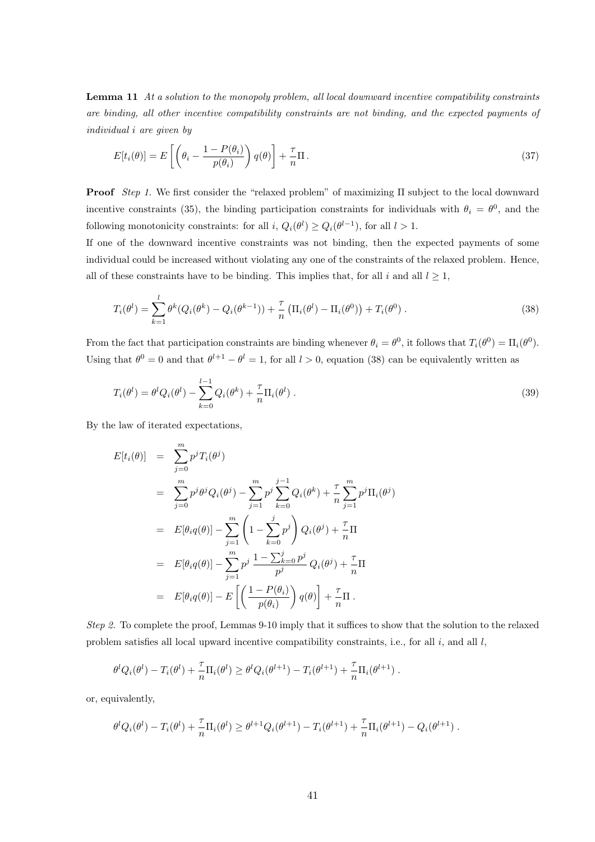Lemma 11 At a solution to the monopoly problem, all local downward incentive compatibility constraints are binding, all other incentive compatibility constraints are not binding, and the expected payments of individual i are given by

$$
E[t_i(\theta)] = E\left[\left(\theta_i - \frac{1 - P(\theta_i)}{p(\theta_i)}\right)q(\theta)\right] + \frac{\tau}{n}\Pi.
$$
\n(37)

**Proof** Step 1. We first consider the "relaxed problem" of maximizing  $\Pi$  subject to the local downward incentive constraints (35), the binding participation constraints for individuals with  $\theta_i = \theta^0$ , and the following monotonicity constraints: for all  $i$ ,  $Q_i(\theta^l) \geq Q_i(\theta^{l-1})$ , for all  $l > 1$ .

If one of the downward incentive constraints was not binding, then the expected payments of some individual could be increased without violating any one of the constraints of the relaxed problem. Hence, all of these constraints have to be binding. This implies that, for all i and all  $l \geq 1$ ,

$$
T_i(\theta^l) = \sum_{k=1}^l \theta^k (Q_i(\theta^k) - Q_i(\theta^{k-1})) + \frac{\tau}{n} \left( \Pi_i(\theta^l) - \Pi_i(\theta^0) \right) + T_i(\theta^0) \,. \tag{38}
$$

From the fact that participation constraints are binding whenever  $\theta_i = \theta^0$ , it follows that  $T_i(\theta^0) = \Pi_i(\theta^0)$ . Using that  $\theta^0 = 0$  and that  $\theta^{l+1} - \theta^l = 1$ , for all  $l > 0$ , equation (38) can be equivalently written as

$$
T_i(\theta^l) = \theta^l Q_i(\theta^l) - \sum_{k=0}^{l-1} Q_i(\theta^k) + \frac{\tau}{n} \Pi_i(\theta^l) .
$$
\n(39)

By the law of iterated expectations,

$$
E[t_i(\theta)] = \sum_{j=0}^{m} p^j T_i(\theta^j)
$$
  
\n
$$
= \sum_{j=0}^{m} p^j \theta^j Q_i(\theta^j) - \sum_{j=1}^{m} p^j \sum_{k=0}^{j-1} Q_i(\theta^k) + \frac{\tau}{n} \sum_{j=1}^{m} p^j \Pi_i(\theta^j)
$$
  
\n
$$
= E[\theta_i q(\theta)] - \sum_{j=1}^{m} \left(1 - \sum_{k=0}^{j} p^j\right) Q_i(\theta^j) + \frac{\tau}{n} \Pi
$$
  
\n
$$
= E[\theta_i q(\theta)] - \sum_{j=1}^{m} p^j \frac{1 - \sum_{k=0}^{j} p^j}{p^j} Q_i(\theta^j) + \frac{\tau}{n} \Pi
$$
  
\n
$$
= E[\theta_i q(\theta)] - E\left[\left(\frac{1 - P(\theta_i)}{p(\theta_i)}\right) q(\theta)\right] + \frac{\tau}{n} \Pi.
$$

Step 2. To complete the proof, Lemmas 9-10 imply that it suffices to show that the solution to the relaxed problem satisfies all local upward incentive compatibility constraints, i.e., for all  $i$ , and all  $l$ ,

$$
\theta^{l} Q_i(\theta^{l}) - T_i(\theta^{l}) + \frac{\tau}{n} \Pi_i(\theta^{l}) \geq \theta^{l} Q_i(\theta^{l+1}) - T_i(\theta^{l+1}) + \frac{\tau}{n} \Pi_i(\theta^{l+1}).
$$

or, equivalently,

$$
\theta^l Q_i(\theta^l) - T_i(\theta^l) + \frac{\tau}{n} \Pi_i(\theta^l) \geq \theta^{l+1} Q_i(\theta^{l+1}) - T_i(\theta^{l+1}) + \frac{\tau}{n} \Pi_i(\theta^{l+1}) - Q_i(\theta^{l+1}).
$$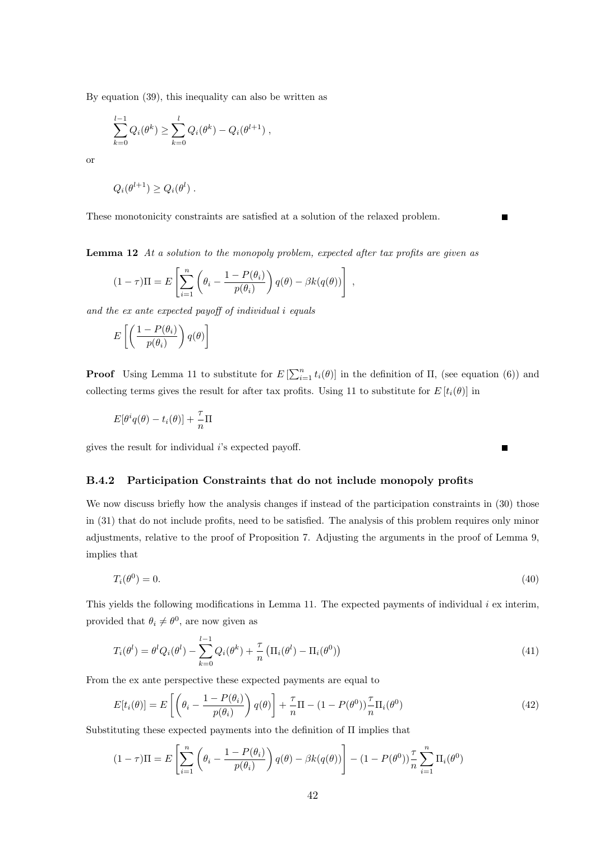By equation (39), this inequality can also be written as

$$
\sum_{k=0}^{l-1} Q_i(\theta^k) \ge \sum_{k=0}^{l} Q_i(\theta^k) - Q_i(\theta^{l+1}),
$$

or

$$
Q_i(\theta^{l+1}) \ge Q_i(\theta^l) .
$$

These monotonicity constraints are satisfied at a solution of the relaxed problem.

Lemma 12 At a solution to the monopoly problem, expected after tax profits are given as

$$
(1 - \tau)\Pi = E\left[\sum_{i=1}^{n} \left(\theta_i - \frac{1 - P(\theta_i)}{p(\theta_i)}\right)q(\theta) - \beta k(q(\theta))\right],
$$

and the ex ante expected payoff of individual i equals

$$
E\left[\left(\frac{1-P(\theta_i)}{p(\theta_i)}\right)q(\theta)\right]
$$

**Proof** Using Lemma 11 to substitute for  $E\left[\sum_{i=1}^{n} t_i(\theta)\right]$  in the definition of  $\Pi$ , (see equation (6)) and collecting terms gives the result for after tax profits. Using 11 to substitute for  $E[t_i(\theta)]$  in

 $\blacksquare$ 

$$
E[\theta^i q(\theta) - t_i(\theta)] + \frac{\tau}{n} \Pi
$$

gives the result for individual  $i$ 's expected payoff.

#### B.4.2 Participation Constraints that do not include monopoly profits

We now discuss briefly how the analysis changes if instead of the participation constraints in  $(30)$  those in (31) that do not include profits, need to be satisfied. The analysis of this problem requires only minor adjustments, relative to the proof of Proposition 7. Adjusting the arguments in the proof of Lemma 9, implies that

$$
T_i(\theta^0) = 0.\tag{40}
$$

This yields the following modifications in Lemma 11. The expected payments of individual  $i$  ex interim, provided that  $\theta_i \neq \theta^0$ , are now given as

$$
T_i(\theta^l) = \theta^l Q_i(\theta^l) - \sum_{k=0}^{l-1} Q_i(\theta^k) + \frac{\tau}{n} \left( \Pi_i(\theta^l) - \Pi_i(\theta^0) \right)
$$
(41)

From the ex ante perspective these expected payments are equal to

$$
E[t_i(\theta)] = E\left[\left(\theta_i - \frac{1 - P(\theta_i)}{p(\theta_i)}\right)q(\theta)\right] + \frac{\tau}{n}\Pi - (1 - P(\theta^0))\frac{\tau}{n}\Pi_i(\theta^0)
$$
\n(42)

Substituting these expected payments into the definition of Π implies that

$$
(1 - \tau)\Pi = E\left[\sum_{i=1}^{n} \left(\theta_i - \frac{1 - P(\theta_i)}{p(\theta_i)}\right)q(\theta) - \beta k(q(\theta))\right] - (1 - P(\theta^0))\frac{\tau}{n}\sum_{i=1}^{n} \Pi_i(\theta^0)
$$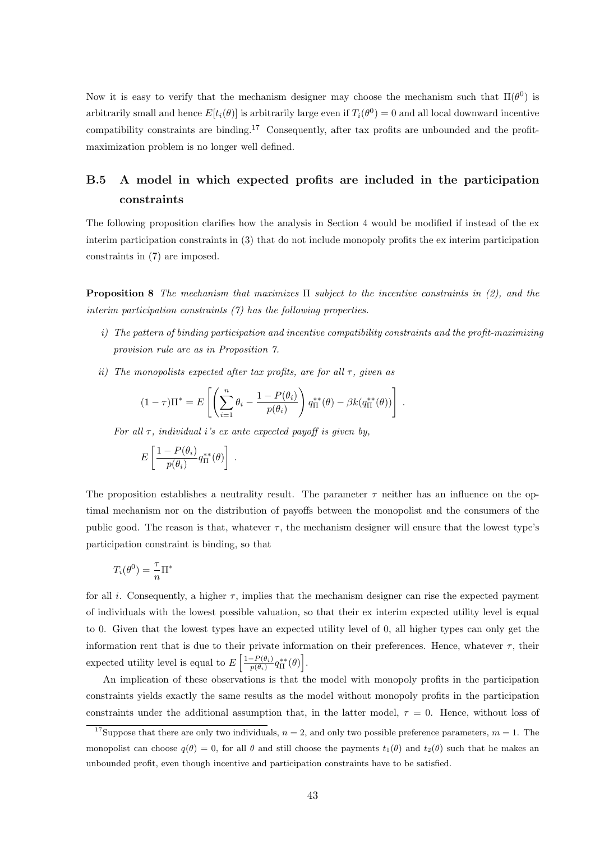Now it is easy to verify that the mechanism designer may choose the mechanism such that  $\Pi(\theta^0)$  is arbitrarily small and hence  $E[t_i(\theta)]$  is arbitrarily large even if  $T_i(\theta^0) = 0$  and all local downward incentive compatibility constraints are binding.<sup>17</sup> Consequently, after tax profits are unbounded and the profitmaximization problem is no longer well defined.

### B.5 A model in which expected profits are included in the participation constraints

The following proposition clarifies how the analysis in Section 4 would be modified if instead of the ex interim participation constraints in (3) that do not include monopoly profits the ex interim participation constraints in (7) are imposed.

**Proposition 8** The mechanism that maximizes  $\Pi$  subject to the incentive constraints in (2), and the interim participation constraints (7) has the following properties.

- i) The pattern of binding participation and incentive compatibility constraints and the profit-maximizing provision rule are as in Proposition 7.
- ii) The monopolists expected after tax profits, are for all  $\tau$ , given as

$$
(1-\tau)\Pi^* = E\left[\left(\sum_{i=1}^n \theta_i - \frac{1-P(\theta_i)}{p(\theta_i)}\right) q_{\Pi}^{**}(\theta) - \beta k(q_{\Pi}^{**}(\theta))\right].
$$

For all  $\tau$ , individual i's ex ante expected payoff is given by,

$$
E\left[\frac{1-P(\theta_i)}{p(\theta_i)}q_{\Pi}^{**}(\theta)\right].
$$

The proposition establishes a neutrality result. The parameter  $\tau$  neither has an influence on the optimal mechanism nor on the distribution of payoffs between the monopolist and the consumers of the public good. The reason is that, whatever  $\tau$ , the mechanism designer will ensure that the lowest type's participation constraint is binding, so that

$$
T_i(\theta^0) = \frac{\tau}{n} \Pi^*
$$

for all i. Consequently, a higher  $\tau$ , implies that the mechanism designer can rise the expected payment of individuals with the lowest possible valuation, so that their ex interim expected utility level is equal to 0. Given that the lowest types have an expected utility level of 0, all higher types can only get the information rent that is due to their private information on their preferences. Hence, whatever  $\tau$ , their expected utility level is equal to  $E\left[\frac{1-P(\theta_i)}{P(\theta_i)}\right]$  $\left. \frac{-P(\theta_i)}{p(\theta_i)} q_{\Pi}^{**}(\theta) \right].$ 

An implication of these observations is that the model with monopoly profits in the participation constraints yields exactly the same results as the model without monopoly profits in the participation constraints under the additional assumption that, in the latter model,  $\tau = 0$ . Hence, without loss of

<sup>&</sup>lt;sup>17</sup>Suppose that there are only two individuals,  $n = 2$ , and only two possible preference parameters,  $m = 1$ . The monopolist can choose  $q(\theta) = 0$ , for all  $\theta$  and still choose the payments  $t_1(\theta)$  and  $t_2(\theta)$  such that he makes an unbounded profit, even though incentive and participation constraints have to be satisfied.